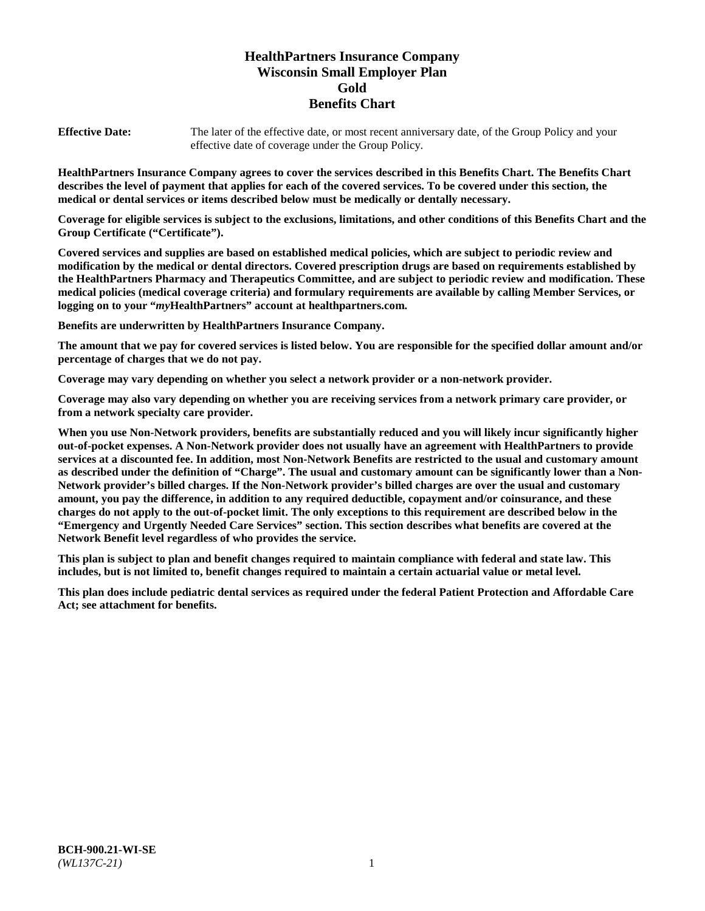# **HealthPartners Insurance Company Wisconsin Small Employer Plan Gold Benefits Chart**

**Effective Date:** The later of the effective date, or most recent anniversary date, of the Group Policy and your effective date of coverage under the Group Policy.

**HealthPartners Insurance Company agrees to cover the services described in this Benefits Chart. The Benefits Chart describes the level of payment that applies for each of the covered services. To be covered under this section, the medical or dental services or items described below must be medically or dentally necessary.**

**Coverage for eligible services is subject to the exclusions, limitations, and other conditions of this Benefits Chart and the Group Certificate ("Certificate").**

**Covered services and supplies are based on established medical policies, which are subject to periodic review and modification by the medical or dental directors. Covered prescription drugs are based on requirements established by the HealthPartners Pharmacy and Therapeutics Committee, and are subject to periodic review and modification. These medical policies (medical coverage criteria) and formulary requirements are available by calling Member Services, or logging on to your "***my***HealthPartners" account at [healthpartners.com.](https://www.healthpartners.com/hp/index.html)**

**Benefits are underwritten by HealthPartners Insurance Company.**

**The amount that we pay for covered services is listed below. You are responsible for the specified dollar amount and/or percentage of charges that we do not pay.**

**Coverage may vary depending on whether you select a network provider or a non-network provider.**

**Coverage may also vary depending on whether you are receiving services from a network primary care provider, or from a network specialty care provider.**

**When you use Non-Network providers, benefits are substantially reduced and you will likely incur significantly higher out-of-pocket expenses. A Non-Network provider does not usually have an agreement with HealthPartners to provide services at a discounted fee. In addition, most Non-Network Benefits are restricted to the usual and customary amount as described under the definition of "Charge". The usual and customary amount can be significantly lower than a Non-Network provider's billed charges. If the Non-Network provider's billed charges are over the usual and customary amount, you pay the difference, in addition to any required deductible, copayment and/or coinsurance, and these charges do not apply to the out-of-pocket limit. The only exceptions to this requirement are described below in the "Emergency and Urgently Needed Care Services" section. This section describes what benefits are covered at the Network Benefit level regardless of who provides the service.**

**This plan is subject to plan and benefit changes required to maintain compliance with federal and state law. This includes, but is not limited to, benefit changes required to maintain a certain actuarial value or metal level.**

**This plan does include pediatric dental services as required under the federal Patient Protection and Affordable Care Act; see attachment for benefits.**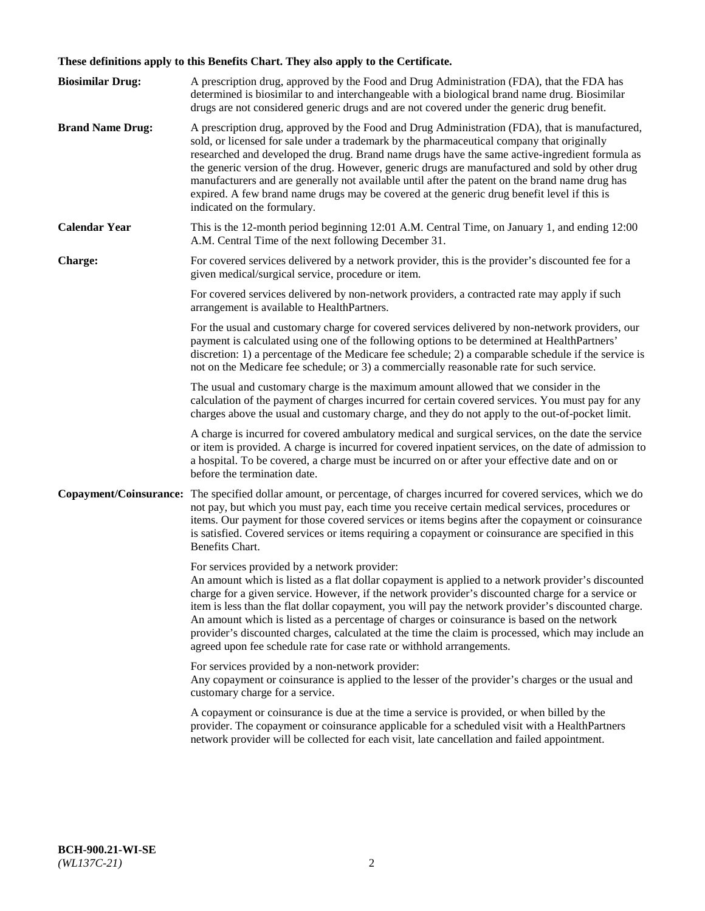# **These definitions apply to this Benefits Chart. They also apply to the Certificate.**

| <b>Biosimilar Drug:</b> | A prescription drug, approved by the Food and Drug Administration (FDA), that the FDA has<br>determined is biosimilar to and interchangeable with a biological brand name drug. Biosimilar<br>drugs are not considered generic drugs and are not covered under the generic drug benefit.                                                                                                                                                                                                                                                                                                                                                     |
|-------------------------|----------------------------------------------------------------------------------------------------------------------------------------------------------------------------------------------------------------------------------------------------------------------------------------------------------------------------------------------------------------------------------------------------------------------------------------------------------------------------------------------------------------------------------------------------------------------------------------------------------------------------------------------|
| <b>Brand Name Drug:</b> | A prescription drug, approved by the Food and Drug Administration (FDA), that is manufactured,<br>sold, or licensed for sale under a trademark by the pharmaceutical company that originally<br>researched and developed the drug. Brand name drugs have the same active-ingredient formula as<br>the generic version of the drug. However, generic drugs are manufactured and sold by other drug<br>manufacturers and are generally not available until after the patent on the brand name drug has<br>expired. A few brand name drugs may be covered at the generic drug benefit level if this is<br>indicated on the formulary.           |
| <b>Calendar Year</b>    | This is the 12-month period beginning 12:01 A.M. Central Time, on January 1, and ending 12:00<br>A.M. Central Time of the next following December 31.                                                                                                                                                                                                                                                                                                                                                                                                                                                                                        |
| <b>Charge:</b>          | For covered services delivered by a network provider, this is the provider's discounted fee for a<br>given medical/surgical service, procedure or item.                                                                                                                                                                                                                                                                                                                                                                                                                                                                                      |
|                         | For covered services delivered by non-network providers, a contracted rate may apply if such<br>arrangement is available to HealthPartners.                                                                                                                                                                                                                                                                                                                                                                                                                                                                                                  |
|                         | For the usual and customary charge for covered services delivered by non-network providers, our<br>payment is calculated using one of the following options to be determined at HealthPartners'<br>discretion: 1) a percentage of the Medicare fee schedule; 2) a comparable schedule if the service is<br>not on the Medicare fee schedule; or 3) a commercially reasonable rate for such service.                                                                                                                                                                                                                                          |
|                         | The usual and customary charge is the maximum amount allowed that we consider in the<br>calculation of the payment of charges incurred for certain covered services. You must pay for any<br>charges above the usual and customary charge, and they do not apply to the out-of-pocket limit.                                                                                                                                                                                                                                                                                                                                                 |
|                         | A charge is incurred for covered ambulatory medical and surgical services, on the date the service<br>or item is provided. A charge is incurred for covered inpatient services, on the date of admission to<br>a hospital. To be covered, a charge must be incurred on or after your effective date and on or<br>before the termination date.                                                                                                                                                                                                                                                                                                |
| Copayment/Coinsurance:  | The specified dollar amount, or percentage, of charges incurred for covered services, which we do<br>not pay, but which you must pay, each time you receive certain medical services, procedures or<br>items. Our payment for those covered services or items begins after the copayment or coinsurance<br>is satisfied. Covered services or items requiring a copayment or coinsurance are specified in this<br>Benefits Chart.                                                                                                                                                                                                             |
|                         | For services provided by a network provider:<br>An amount which is listed as a flat dollar copayment is applied to a network provider's discounted<br>charge for a given service. However, if the network provider's discounted charge for a service or<br>item is less than the flat dollar copayment, you will pay the network provider's discounted charge.<br>An amount which is listed as a percentage of charges or coinsurance is based on the network<br>provider's discounted charges, calculated at the time the claim is processed, which may include an<br>agreed upon fee schedule rate for case rate or withhold arrangements. |
|                         | For services provided by a non-network provider:<br>Any copayment or coinsurance is applied to the lesser of the provider's charges or the usual and<br>customary charge for a service.                                                                                                                                                                                                                                                                                                                                                                                                                                                      |
|                         | A copayment or coinsurance is due at the time a service is provided, or when billed by the<br>provider. The copayment or coinsurance applicable for a scheduled visit with a HealthPartners<br>network provider will be collected for each visit, late cancellation and failed appointment.                                                                                                                                                                                                                                                                                                                                                  |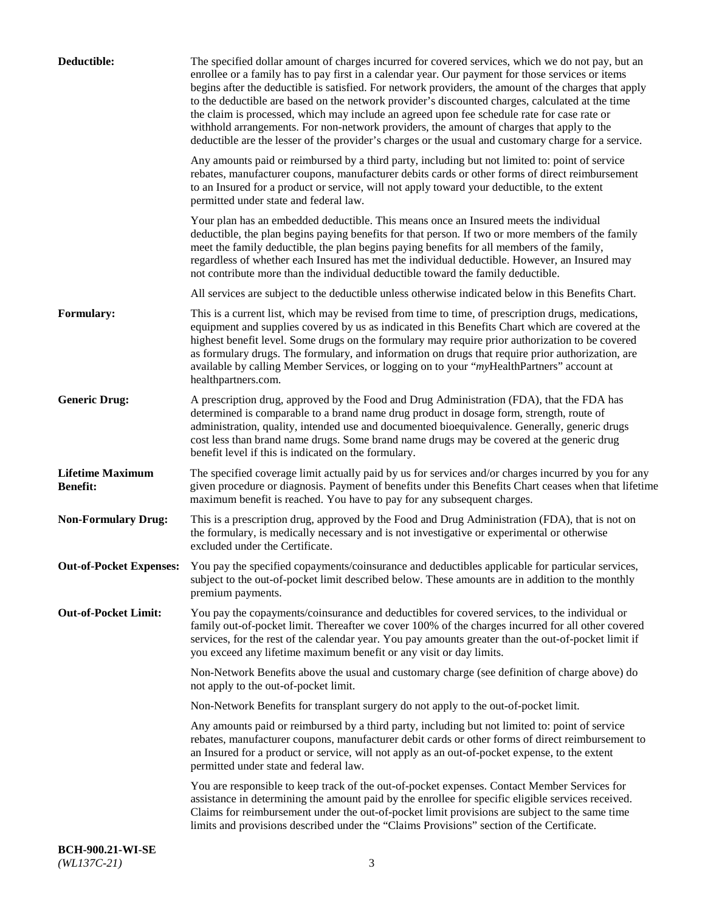| Deductible:                                | The specified dollar amount of charges incurred for covered services, which we do not pay, but an<br>enrollee or a family has to pay first in a calendar year. Our payment for those services or items<br>begins after the deductible is satisfied. For network providers, the amount of the charges that apply<br>to the deductible are based on the network provider's discounted charges, calculated at the time<br>the claim is processed, which may include an agreed upon fee schedule rate for case rate or<br>withhold arrangements. For non-network providers, the amount of charges that apply to the<br>deductible are the lesser of the provider's charges or the usual and customary charge for a service. |
|--------------------------------------------|-------------------------------------------------------------------------------------------------------------------------------------------------------------------------------------------------------------------------------------------------------------------------------------------------------------------------------------------------------------------------------------------------------------------------------------------------------------------------------------------------------------------------------------------------------------------------------------------------------------------------------------------------------------------------------------------------------------------------|
|                                            | Any amounts paid or reimbursed by a third party, including but not limited to: point of service<br>rebates, manufacturer coupons, manufacturer debits cards or other forms of direct reimbursement<br>to an Insured for a product or service, will not apply toward your deductible, to the extent<br>permitted under state and federal law.                                                                                                                                                                                                                                                                                                                                                                            |
|                                            | Your plan has an embedded deductible. This means once an Insured meets the individual<br>deductible, the plan begins paying benefits for that person. If two or more members of the family<br>meet the family deductible, the plan begins paying benefits for all members of the family,<br>regardless of whether each Insured has met the individual deductible. However, an Insured may<br>not contribute more than the individual deductible toward the family deductible.                                                                                                                                                                                                                                           |
|                                            | All services are subject to the deductible unless otherwise indicated below in this Benefits Chart.                                                                                                                                                                                                                                                                                                                                                                                                                                                                                                                                                                                                                     |
| <b>Formulary:</b>                          | This is a current list, which may be revised from time to time, of prescription drugs, medications,<br>equipment and supplies covered by us as indicated in this Benefits Chart which are covered at the<br>highest benefit level. Some drugs on the formulary may require prior authorization to be covered<br>as formulary drugs. The formulary, and information on drugs that require prior authorization, are<br>available by calling Member Services, or logging on to your "myHealthPartners" account at<br>healthpartners.com.                                                                                                                                                                                   |
| <b>Generic Drug:</b>                       | A prescription drug, approved by the Food and Drug Administration (FDA), that the FDA has<br>determined is comparable to a brand name drug product in dosage form, strength, route of<br>administration, quality, intended use and documented bioequivalence. Generally, generic drugs<br>cost less than brand name drugs. Some brand name drugs may be covered at the generic drug<br>benefit level if this is indicated on the formulary.                                                                                                                                                                                                                                                                             |
| <b>Lifetime Maximum</b><br><b>Benefit:</b> | The specified coverage limit actually paid by us for services and/or charges incurred by you for any<br>given procedure or diagnosis. Payment of benefits under this Benefits Chart ceases when that lifetime<br>maximum benefit is reached. You have to pay for any subsequent charges.                                                                                                                                                                                                                                                                                                                                                                                                                                |
| <b>Non-Formulary Drug:</b>                 | This is a prescription drug, approved by the Food and Drug Administration (FDA), that is not on<br>the formulary, is medically necessary and is not investigative or experimental or otherwise<br>excluded under the Certificate.                                                                                                                                                                                                                                                                                                                                                                                                                                                                                       |
|                                            | Out-of-Pocket Expenses: You pay the specified copayments/coinsurance and deductibles applicable for particular services,<br>subject to the out-of-pocket limit described below. These amounts are in addition to the monthly<br>premium payments.                                                                                                                                                                                                                                                                                                                                                                                                                                                                       |
| <b>Out-of-Pocket Limit:</b>                | You pay the copayments/coinsurance and deductibles for covered services, to the individual or<br>family out-of-pocket limit. Thereafter we cover 100% of the charges incurred for all other covered<br>services, for the rest of the calendar year. You pay amounts greater than the out-of-pocket limit if<br>you exceed any lifetime maximum benefit or any visit or day limits.                                                                                                                                                                                                                                                                                                                                      |
|                                            | Non-Network Benefits above the usual and customary charge (see definition of charge above) do<br>not apply to the out-of-pocket limit.                                                                                                                                                                                                                                                                                                                                                                                                                                                                                                                                                                                  |
|                                            | Non-Network Benefits for transplant surgery do not apply to the out-of-pocket limit.                                                                                                                                                                                                                                                                                                                                                                                                                                                                                                                                                                                                                                    |
|                                            | Any amounts paid or reimbursed by a third party, including but not limited to: point of service<br>rebates, manufacturer coupons, manufacturer debit cards or other forms of direct reimbursement to<br>an Insured for a product or service, will not apply as an out-of-pocket expense, to the extent<br>permitted under state and federal law.                                                                                                                                                                                                                                                                                                                                                                        |
|                                            | You are responsible to keep track of the out-of-pocket expenses. Contact Member Services for<br>assistance in determining the amount paid by the enrollee for specific eligible services received.<br>Claims for reimbursement under the out-of-pocket limit provisions are subject to the same time<br>limits and provisions described under the "Claims Provisions" section of the Certificate.                                                                                                                                                                                                                                                                                                                       |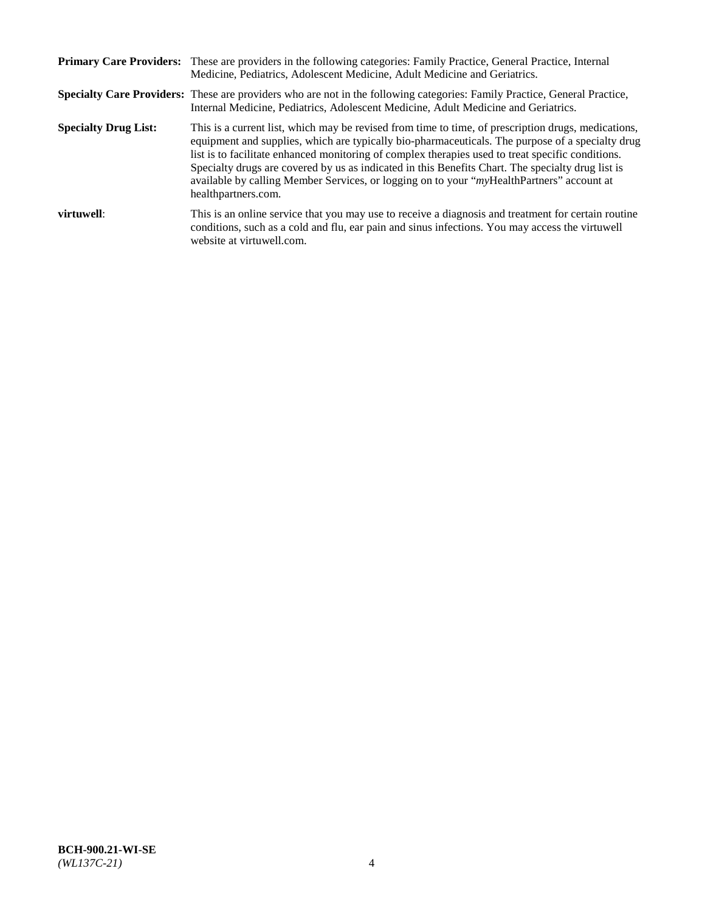|                             | Primary Care Providers: These are providers in the following categories: Family Practice, General Practice, Internal<br>Medicine, Pediatrics, Adolescent Medicine, Adult Medicine and Geriatrics.                                                                                                                                                                                                                                                                                                                                     |
|-----------------------------|---------------------------------------------------------------------------------------------------------------------------------------------------------------------------------------------------------------------------------------------------------------------------------------------------------------------------------------------------------------------------------------------------------------------------------------------------------------------------------------------------------------------------------------|
|                             | <b>Specialty Care Providers:</b> These are providers who are not in the following categories: Family Practice, General Practice,<br>Internal Medicine, Pediatrics, Adolescent Medicine, Adult Medicine and Geriatrics.                                                                                                                                                                                                                                                                                                                |
| <b>Specialty Drug List:</b> | This is a current list, which may be revised from time to time, of prescription drugs, medications,<br>equipment and supplies, which are typically bio-pharmaceuticals. The purpose of a specialty drug<br>list is to facilitate enhanced monitoring of complex therapies used to treat specific conditions.<br>Specialty drugs are covered by us as indicated in this Benefits Chart. The specialty drug list is<br>available by calling Member Services, or logging on to your "myHealthPartners" account at<br>healthpartners.com. |
| virtuwell:                  | This is an online service that you may use to receive a diagnosis and treatment for certain routine<br>conditions, such as a cold and flu, ear pain and sinus infections. You may access the virtuwell<br>website at virtuwell.com.                                                                                                                                                                                                                                                                                                   |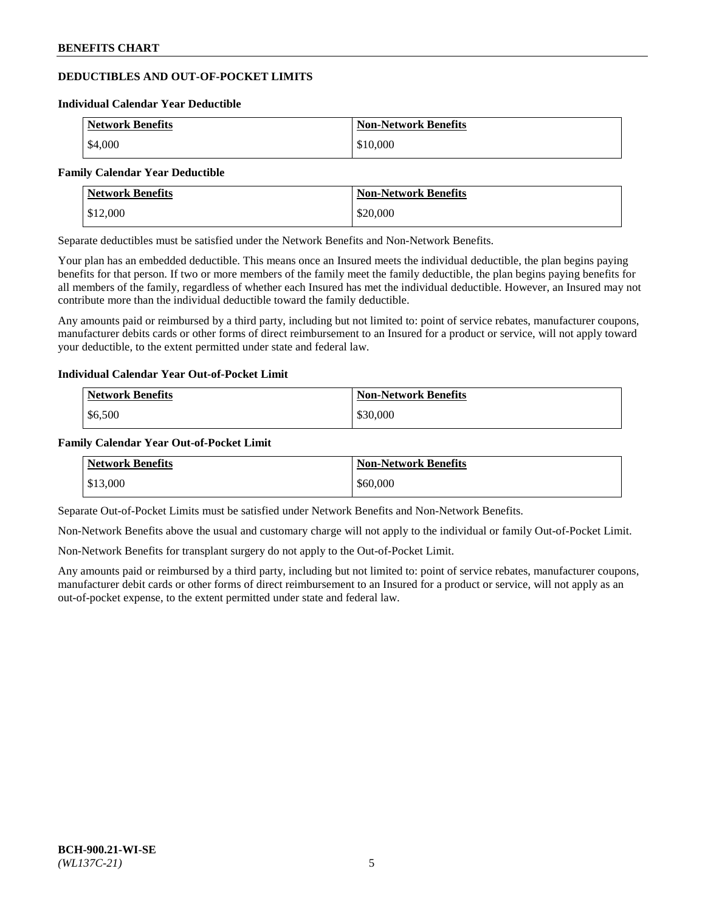# **DEDUCTIBLES AND OUT-OF-POCKET LIMITS**

#### **Individual Calendar Year Deductible**

| <b>Network Benefits</b> | <b>Non-Network Benefits</b> |
|-------------------------|-----------------------------|
| \$4,000                 | \$10,000                    |

#### **Family Calendar Year Deductible**

| <b>Network Benefits</b> | <b>Non-Network Benefits</b> |
|-------------------------|-----------------------------|
| $\frac{1}{2}$ \$12,000  | \$20,000                    |

Separate deductibles must be satisfied under the Network Benefits and Non-Network Benefits.

Your plan has an embedded deductible. This means once an Insured meets the individual deductible, the plan begins paying benefits for that person. If two or more members of the family meet the family deductible, the plan begins paying benefits for all members of the family, regardless of whether each Insured has met the individual deductible. However, an Insured may not contribute more than the individual deductible toward the family deductible.

Any amounts paid or reimbursed by a third party, including but not limited to: point of service rebates, manufacturer coupons, manufacturer debits cards or other forms of direct reimbursement to an Insured for a product or service, will not apply toward your deductible, to the extent permitted under state and federal law.

#### **Individual Calendar Year Out-of-Pocket Limit**

| <b>Network Benefits</b> | <b>Non-Network Benefits</b> |
|-------------------------|-----------------------------|
| \$6,500                 | \$30,000                    |

#### **Family Calendar Year Out-of-Pocket Limit**

| <b>Network Benefits</b> | Non-Network Benefits |
|-------------------------|----------------------|
| \$13,000                | \$60,000             |

Separate Out-of-Pocket Limits must be satisfied under Network Benefits and Non-Network Benefits.

Non-Network Benefits above the usual and customary charge will not apply to the individual or family Out-of-Pocket Limit.

Non-Network Benefits for transplant surgery do not apply to the Out-of-Pocket Limit.

Any amounts paid or reimbursed by a third party, including but not limited to: point of service rebates, manufacturer coupons, manufacturer debit cards or other forms of direct reimbursement to an Insured for a product or service, will not apply as an out-of-pocket expense, to the extent permitted under state and federal law.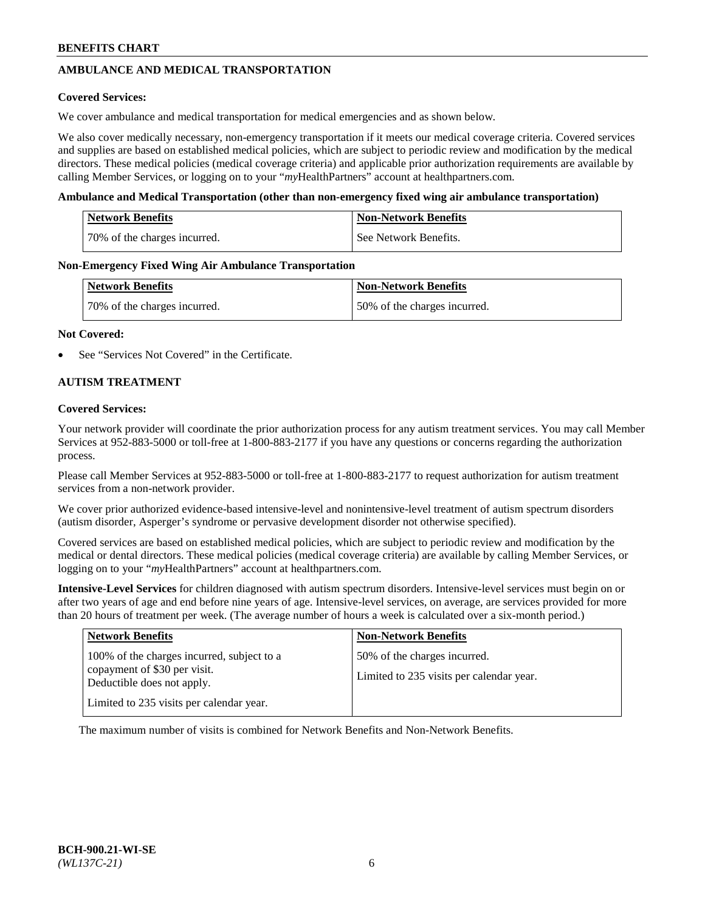# **AMBULANCE AND MEDICAL TRANSPORTATION**

#### **Covered Services:**

We cover ambulance and medical transportation for medical emergencies and as shown below.

We also cover medically necessary, non-emergency transportation if it meets our medical coverage criteria. Covered services and supplies are based on established medical policies, which are subject to periodic review and modification by the medical directors. These medical policies (medical coverage criteria) and applicable prior authorization requirements are available by calling Member Services, or logging on to your "*my*HealthPartners" account a[t healthpartners.com.](https://www.healthpartners.com/hp/index.html)

#### **Ambulance and Medical Transportation (other than non-emergency fixed wing air ambulance transportation)**

| <b>Network Benefits</b>      | <b>Non-Network Benefits</b> |
|------------------------------|-----------------------------|
| 70% of the charges incurred. | See Network Benefits.       |

#### **Non-Emergency Fixed Wing Air Ambulance Transportation**

| <b>Network Benefits</b>      | <b>Non-Network Benefits</b>  |
|------------------------------|------------------------------|
| 70% of the charges incurred. | 50% of the charges incurred. |

#### **Not Covered:**

See "Services Not Covered" in the Certificate.

### **AUTISM TREATMENT**

#### **Covered Services:**

Your network provider will coordinate the prior authorization process for any autism treatment services. You may call Member Services at 952-883-5000 or toll-free at 1-800-883-2177 if you have any questions or concerns regarding the authorization process.

Please call Member Services at 952-883-5000 or toll-free at 1-800-883-2177 to request authorization for autism treatment services from a non-network provider.

We cover prior authorized evidence-based intensive-level and nonintensive-level treatment of autism spectrum disorders (autism disorder, Asperger's syndrome or pervasive development disorder not otherwise specified).

Covered services are based on established medical policies, which are subject to periodic review and modification by the medical or dental directors. These medical policies (medical coverage criteria) are available by calling Member Services, or logging on to your "*my*HealthPartners" account at [healthpartners.com.](https://www.healthpartners.com/hp/index.html)

**Intensive-Level Services** for children diagnosed with autism spectrum disorders. Intensive-level services must begin on or after two years of age and end before nine years of age. Intensive-level services, on average, are services provided for more than 20 hours of treatment per week. (The average number of hours a week is calculated over a six-month period.)

| <b>Network Benefits</b>                                                                                                                              | <b>Non-Network Benefits</b>                                              |
|------------------------------------------------------------------------------------------------------------------------------------------------------|--------------------------------------------------------------------------|
| 100% of the charges incurred, subject to a<br>copayment of \$30 per visit.<br>Deductible does not apply.<br>Limited to 235 visits per calendar year. | 50% of the charges incurred.<br>Limited to 235 visits per calendar year. |

The maximum number of visits is combined for Network Benefits and Non-Network Benefits.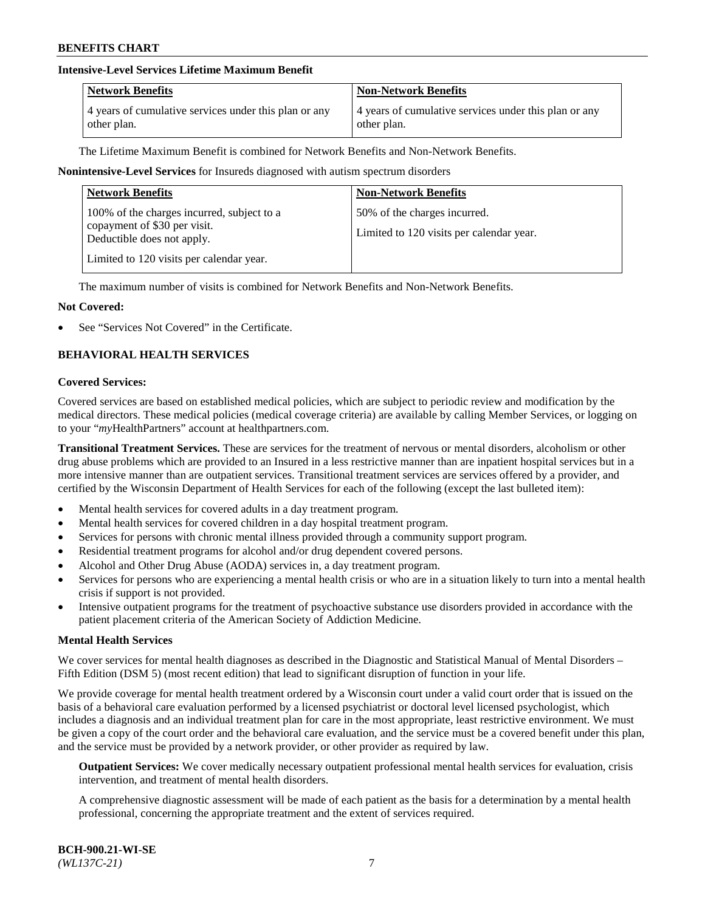## **Intensive-Level Services Lifetime Maximum Benefit**

| <b>Network Benefits</b>                               | <b>Non-Network Benefits</b>                           |
|-------------------------------------------------------|-------------------------------------------------------|
| 4 years of cumulative services under this plan or any | 4 years of cumulative services under this plan or any |
| other plan.                                           | other plan.                                           |

The Lifetime Maximum Benefit is combined for Network Benefits and Non-Network Benefits.

#### **Nonintensive-Level Services** for Insureds diagnosed with autism spectrum disorders

| <b>Network Benefits</b>                                                                                                                              | <b>Non-Network Benefits</b>                                              |
|------------------------------------------------------------------------------------------------------------------------------------------------------|--------------------------------------------------------------------------|
| 100% of the charges incurred, subject to a<br>copayment of \$30 per visit.<br>Deductible does not apply.<br>Limited to 120 visits per calendar year. | 50% of the charges incurred.<br>Limited to 120 visits per calendar year. |

The maximum number of visits is combined for Network Benefits and Non-Network Benefits.

#### **Not Covered:**

See "Services Not Covered" in the Certificate.

# **BEHAVIORAL HEALTH SERVICES**

#### **Covered Services:**

Covered services are based on established medical policies, which are subject to periodic review and modification by the medical directors. These medical policies (medical coverage criteria) are available by calling Member Services, or logging on to your "*my*HealthPartners" account at [healthpartners.com.](https://www.healthpartners.com/hp/index.html)

**Transitional Treatment Services.** These are services for the treatment of nervous or mental disorders, alcoholism or other drug abuse problems which are provided to an Insured in a less restrictive manner than are inpatient hospital services but in a more intensive manner than are outpatient services. Transitional treatment services are services offered by a provider, and certified by the Wisconsin Department of Health Services for each of the following (except the last bulleted item):

- Mental health services for covered adults in a day treatment program.
- Mental health services for covered children in a day hospital treatment program.
- Services for persons with chronic mental illness provided through a community support program.
- Residential treatment programs for alcohol and/or drug dependent covered persons.
- Alcohol and Other Drug Abuse (AODA) services in, a day treatment program.
- Services for persons who are experiencing a mental health crisis or who are in a situation likely to turn into a mental health crisis if support is not provided.
- Intensive outpatient programs for the treatment of psychoactive substance use disorders provided in accordance with the patient placement criteria of the American Society of Addiction Medicine.

#### **Mental Health Services**

We cover services for mental health diagnoses as described in the Diagnostic and Statistical Manual of Mental Disorders – Fifth Edition (DSM 5) (most recent edition) that lead to significant disruption of function in your life.

We provide coverage for mental health treatment ordered by a Wisconsin court under a valid court order that is issued on the basis of a behavioral care evaluation performed by a licensed psychiatrist or doctoral level licensed psychologist, which includes a diagnosis and an individual treatment plan for care in the most appropriate, least restrictive environment. We must be given a copy of the court order and the behavioral care evaluation, and the service must be a covered benefit under this plan, and the service must be provided by a network provider, or other provider as required by law.

**Outpatient Services:** We cover medically necessary outpatient professional mental health services for evaluation, crisis intervention, and treatment of mental health disorders.

A comprehensive diagnostic assessment will be made of each patient as the basis for a determination by a mental health professional, concerning the appropriate treatment and the extent of services required.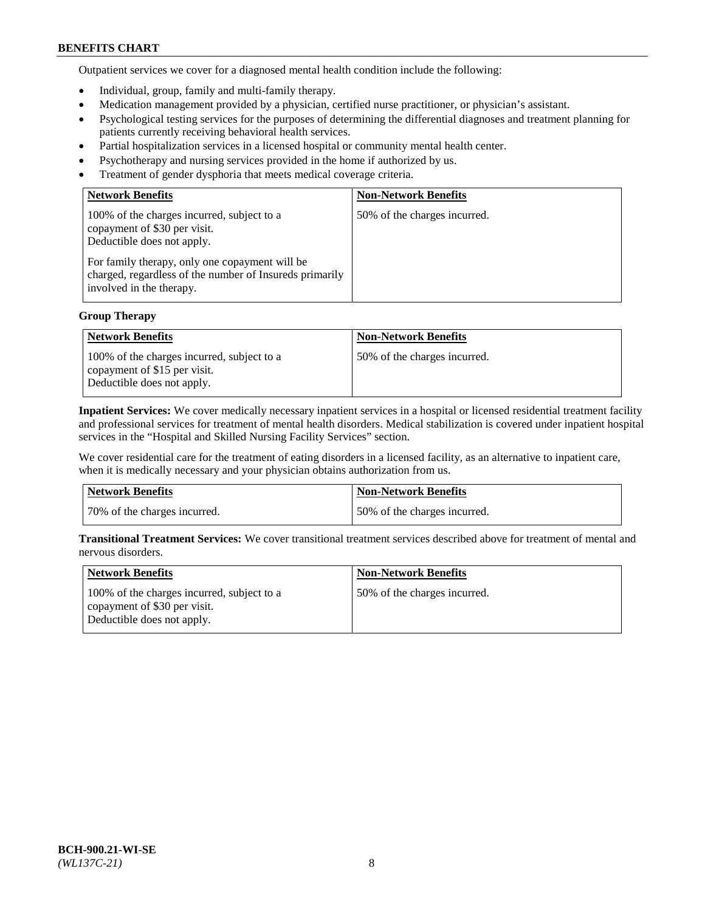Outpatient services we cover for a diagnosed mental health condition include the following:

- Individual, group, family and multi-family therapy.
- Medication management provided by a physician, certified nurse practitioner, or physician's assistant.
- Psychological testing services for the purposes of determining the differential diagnoses and treatment planning for patients currently receiving behavioral health services.
- Partial hospitalization services in a licensed hospital or community mental health center.
- Psychotherapy and nursing services provided in the home if authorized by us.
- Treatment of gender dysphoria that meets medical coverage criteria.

| <b>Network Benefits</b>                                                                                                                                                                                                                           | <b>Non-Network Benefits</b>  |
|---------------------------------------------------------------------------------------------------------------------------------------------------------------------------------------------------------------------------------------------------|------------------------------|
| 100% of the charges incurred, subject to a<br>copayment of \$30 per visit.<br>Deductible does not apply.<br>For family therapy, only one copayment will be<br>charged, regardless of the number of Insureds primarily<br>involved in the therapy. | 50% of the charges incurred. |

### **Group Therapy**

| <b>Network Benefits</b>                                                                                  | <b>Non-Network Benefits</b>  |
|----------------------------------------------------------------------------------------------------------|------------------------------|
| 100% of the charges incurred, subject to a<br>copayment of \$15 per visit.<br>Deductible does not apply. | 50% of the charges incurred. |

**Inpatient Services:** We cover medically necessary inpatient services in a hospital or licensed residential treatment facility and professional services for treatment of mental health disorders. Medical stabilization is covered under inpatient hospital services in the "Hospital and Skilled Nursing Facility Services" section.

We cover residential care for the treatment of eating disorders in a licensed facility, as an alternative to inpatient care, when it is medically necessary and your physician obtains authorization from us.

| Network Benefits             | Non-Network Benefits         |
|------------------------------|------------------------------|
| 70% of the charges incurred. | 50% of the charges incurred. |

**Transitional Treatment Services:** We cover transitional treatment services described above for treatment of mental and nervous disorders.

| <b>Network Benefits</b>                                                                                  | <b>Non-Network Benefits</b>  |
|----------------------------------------------------------------------------------------------------------|------------------------------|
| 100% of the charges incurred, subject to a<br>copayment of \$30 per visit.<br>Deductible does not apply. | 50% of the charges incurred. |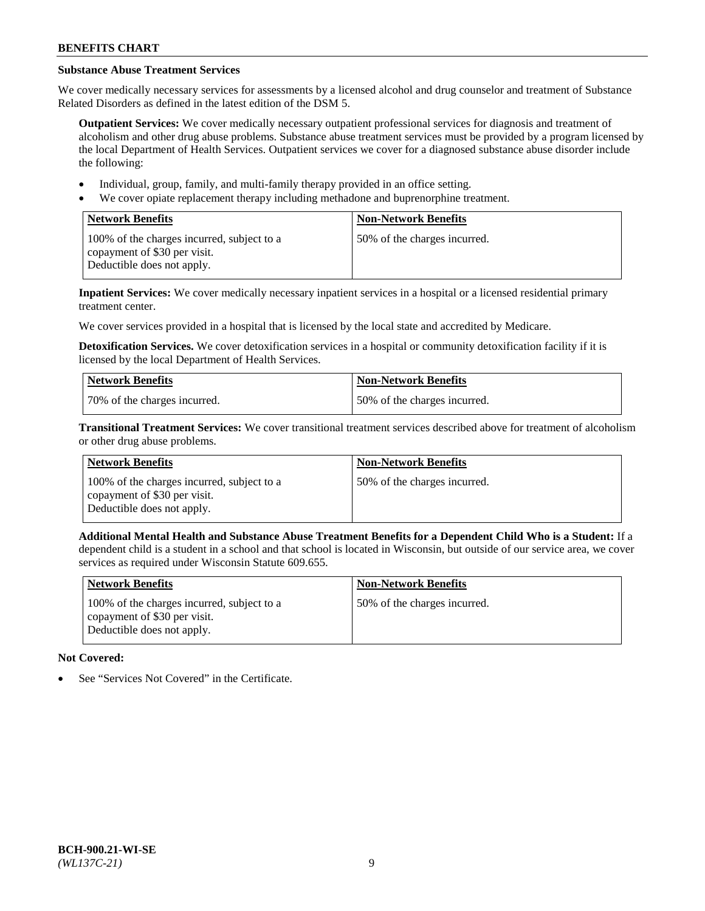# **Substance Abuse Treatment Services**

We cover medically necessary services for assessments by a licensed alcohol and drug counselor and treatment of Substance Related Disorders as defined in the latest edition of the DSM 5.

**Outpatient Services:** We cover medically necessary outpatient professional services for diagnosis and treatment of alcoholism and other drug abuse problems. Substance abuse treatment services must be provided by a program licensed by the local Department of Health Services. Outpatient services we cover for a diagnosed substance abuse disorder include the following:

- Individual, group, family, and multi-family therapy provided in an office setting.
- We cover opiate replacement therapy including methadone and buprenorphine treatment.

| <b>Network Benefits</b>                                                                                  | <b>Non-Network Benefits</b>  |
|----------------------------------------------------------------------------------------------------------|------------------------------|
| 100% of the charges incurred, subject to a<br>copayment of \$30 per visit.<br>Deductible does not apply. | 50% of the charges incurred. |

**Inpatient Services:** We cover medically necessary inpatient services in a hospital or a licensed residential primary treatment center.

We cover services provided in a hospital that is licensed by the local state and accredited by Medicare.

**Detoxification Services.** We cover detoxification services in a hospital or community detoxification facility if it is licensed by the local Department of Health Services.

| Network Benefits             | <b>Non-Network Benefits</b>  |
|------------------------------|------------------------------|
| 70% of the charges incurred. | 50% of the charges incurred. |

**Transitional Treatment Services:** We cover transitional treatment services described above for treatment of alcoholism or other drug abuse problems.

| <b>Network Benefits</b>                                                                                  | <b>Non-Network Benefits</b>  |
|----------------------------------------------------------------------------------------------------------|------------------------------|
| 100% of the charges incurred, subject to a<br>copayment of \$30 per visit.<br>Deductible does not apply. | 50% of the charges incurred. |

**Additional Mental Health and Substance Abuse Treatment Benefits for a Dependent Child Who is a Student:** If a dependent child is a student in a school and that school is located in Wisconsin, but outside of our service area, we cover services as required under Wisconsin Statute 609.655.

| <b>Network Benefits</b>                                                                                  | <b>Non-Network Benefits</b>  |
|----------------------------------------------------------------------------------------------------------|------------------------------|
| 100% of the charges incurred, subject to a<br>copayment of \$30 per visit.<br>Deductible does not apply. | 50% of the charges incurred. |

# **Not Covered:**

See "Services Not Covered" in the Certificate.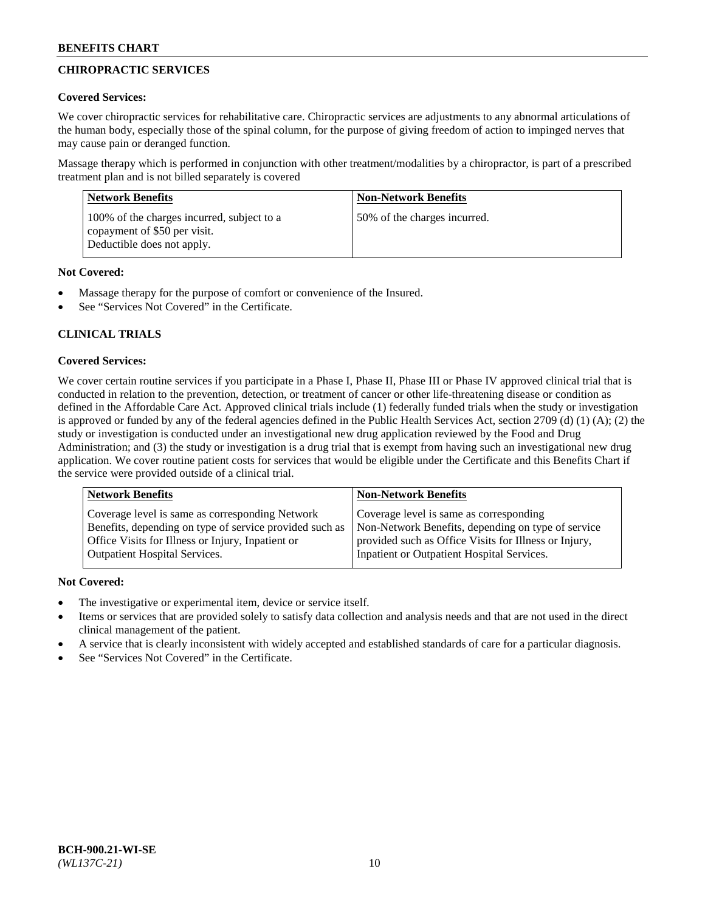# **CHIROPRACTIC SERVICES**

## **Covered Services:**

We cover chiropractic services for rehabilitative care. Chiropractic services are adjustments to any abnormal articulations of the human body, especially those of the spinal column, for the purpose of giving freedom of action to impinged nerves that may cause pain or deranged function.

Massage therapy which is performed in conjunction with other treatment/modalities by a chiropractor, is part of a prescribed treatment plan and is not billed separately is covered

| <b>Network Benefits</b>                                                                                  | <b>Non-Network Benefits</b>  |
|----------------------------------------------------------------------------------------------------------|------------------------------|
| 100% of the charges incurred, subject to a<br>copayment of \$50 per visit.<br>Deductible does not apply. | 50% of the charges incurred. |

# **Not Covered:**

- Massage therapy for the purpose of comfort or convenience of the Insured.
- See "Services Not Covered" in the Certificate.

# **CLINICAL TRIALS**

# **Covered Services:**

We cover certain routine services if you participate in a Phase I, Phase II, Phase III or Phase IV approved clinical trial that is conducted in relation to the prevention, detection, or treatment of cancer or other life-threatening disease or condition as defined in the Affordable Care Act. Approved clinical trials include (1) federally funded trials when the study or investigation is approved or funded by any of the federal agencies defined in the Public Health Services Act, section 2709 (d) (1) (A); (2) the study or investigation is conducted under an investigational new drug application reviewed by the Food and Drug Administration; and (3) the study or investigation is a drug trial that is exempt from having such an investigational new drug application. We cover routine patient costs for services that would be eligible under the Certificate and this Benefits Chart if the service were provided outside of a clinical trial.

| <b>Network Benefits</b>                                 | <b>Non-Network Benefits</b>                           |
|---------------------------------------------------------|-------------------------------------------------------|
| Coverage level is same as corresponding Network         | Coverage level is same as corresponding               |
| Benefits, depending on type of service provided such as | Non-Network Benefits, depending on type of service    |
| Office Visits for Illness or Injury, Inpatient or       | provided such as Office Visits for Illness or Injury, |
| Outpatient Hospital Services.                           | Inpatient or Outpatient Hospital Services.            |

# **Not Covered:**

- The investigative or experimental item, device or service itself.
- Items or services that are provided solely to satisfy data collection and analysis needs and that are not used in the direct clinical management of the patient.
- A service that is clearly inconsistent with widely accepted and established standards of care for a particular diagnosis.
- See "Services Not Covered" in the Certificate.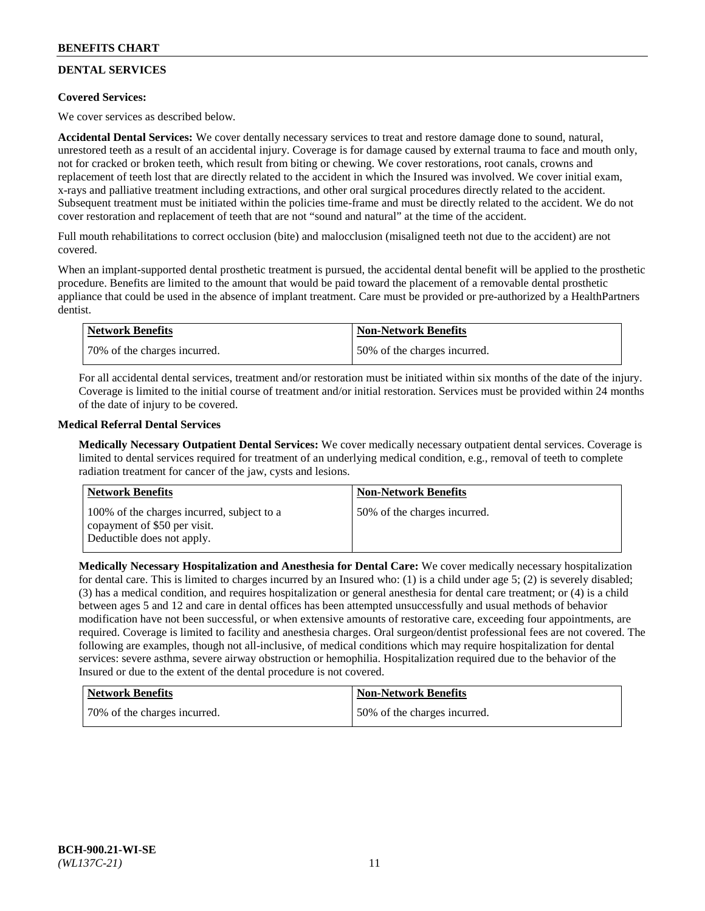# **DENTAL SERVICES**

### **Covered Services:**

We cover services as described below.

**Accidental Dental Services:** We cover dentally necessary services to treat and restore damage done to sound, natural, unrestored teeth as a result of an accidental injury. Coverage is for damage caused by external trauma to face and mouth only, not for cracked or broken teeth, which result from biting or chewing. We cover restorations, root canals, crowns and replacement of teeth lost that are directly related to the accident in which the Insured was involved. We cover initial exam, x-rays and palliative treatment including extractions, and other oral surgical procedures directly related to the accident. Subsequent treatment must be initiated within the policies time-frame and must be directly related to the accident. We do not cover restoration and replacement of teeth that are not "sound and natural" at the time of the accident.

Full mouth rehabilitations to correct occlusion (bite) and malocclusion (misaligned teeth not due to the accident) are not covered.

When an implant-supported dental prosthetic treatment is pursued, the accidental dental benefit will be applied to the prosthetic procedure. Benefits are limited to the amount that would be paid toward the placement of a removable dental prosthetic appliance that could be used in the absence of implant treatment. Care must be provided or pre-authorized by a HealthPartners dentist.

| <b>Network Benefits</b>      | <b>Non-Network Benefits</b>  |
|------------------------------|------------------------------|
| 70% of the charges incurred. | 50% of the charges incurred. |

For all accidental dental services, treatment and/or restoration must be initiated within six months of the date of the injury. Coverage is limited to the initial course of treatment and/or initial restoration. Services must be provided within 24 months of the date of injury to be covered.

### **Medical Referral Dental Services**

**Medically Necessary Outpatient Dental Services:** We cover medically necessary outpatient dental services. Coverage is limited to dental services required for treatment of an underlying medical condition, e.g., removal of teeth to complete radiation treatment for cancer of the jaw, cysts and lesions.

| Network Benefits                                                                                         | <b>Non-Network Benefits</b>  |
|----------------------------------------------------------------------------------------------------------|------------------------------|
| 100% of the charges incurred, subject to a<br>copayment of \$50 per visit.<br>Deductible does not apply. | 50% of the charges incurred. |

**Medically Necessary Hospitalization and Anesthesia for Dental Care:** We cover medically necessary hospitalization for dental care. This is limited to charges incurred by an Insured who: (1) is a child under age 5; (2) is severely disabled; (3) has a medical condition, and requires hospitalization or general anesthesia for dental care treatment; or (4) is a child between ages 5 and 12 and care in dental offices has been attempted unsuccessfully and usual methods of behavior modification have not been successful, or when extensive amounts of restorative care, exceeding four appointments, are required. Coverage is limited to facility and anesthesia charges. Oral surgeon/dentist professional fees are not covered. The following are examples, though not all-inclusive, of medical conditions which may require hospitalization for dental services: severe asthma, severe airway obstruction or hemophilia. Hospitalization required due to the behavior of the Insured or due to the extent of the dental procedure is not covered.

| Network Benefits             | Non-Network Benefits         |
|------------------------------|------------------------------|
| 70% of the charges incurred. | 50% of the charges incurred. |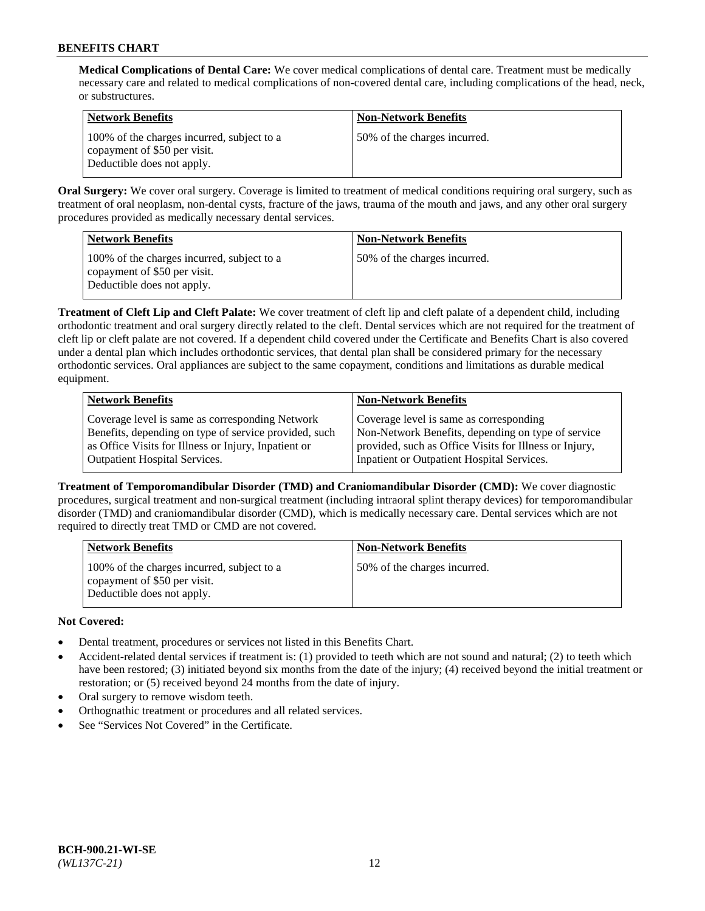**Medical Complications of Dental Care:** We cover medical complications of dental care. Treatment must be medically necessary care and related to medical complications of non-covered dental care, including complications of the head, neck, or substructures.

| <b>Network Benefits</b>                                                                                  | <b>Non-Network Benefits</b>  |
|----------------------------------------------------------------------------------------------------------|------------------------------|
| 100% of the charges incurred, subject to a<br>copayment of \$50 per visit.<br>Deductible does not apply. | 50% of the charges incurred. |

**Oral Surgery:** We cover oral surgery. Coverage is limited to treatment of medical conditions requiring oral surgery, such as treatment of oral neoplasm, non-dental cysts, fracture of the jaws, trauma of the mouth and jaws, and any other oral surgery procedures provided as medically necessary dental services.

| <b>Network Benefits</b>                                                                                  | <b>Non-Network Benefits</b>  |
|----------------------------------------------------------------------------------------------------------|------------------------------|
| 100% of the charges incurred, subject to a<br>copayment of \$50 per visit.<br>Deductible does not apply. | 50% of the charges incurred. |

**Treatment of Cleft Lip and Cleft Palate:** We cover treatment of cleft lip and cleft palate of a dependent child, including orthodontic treatment and oral surgery directly related to the cleft. Dental services which are not required for the treatment of cleft lip or cleft palate are not covered. If a dependent child covered under the Certificate and Benefits Chart is also covered under a dental plan which includes orthodontic services, that dental plan shall be considered primary for the necessary orthodontic services. Oral appliances are subject to the same copayment, conditions and limitations as durable medical equipment.

| <b>Network Benefits</b>                               | <b>Non-Network Benefits</b>                            |
|-------------------------------------------------------|--------------------------------------------------------|
| Coverage level is same as corresponding Network       | Coverage level is same as corresponding                |
| Benefits, depending on type of service provided, such | Non-Network Benefits, depending on type of service     |
| as Office Visits for Illness or Injury, Inpatient or  | provided, such as Office Visits for Illness or Injury, |
| Outpatient Hospital Services.                         | Inpatient or Outpatient Hospital Services.             |

**Treatment of Temporomandibular Disorder (TMD) and Craniomandibular Disorder (CMD):** We cover diagnostic procedures, surgical treatment and non-surgical treatment (including intraoral splint therapy devices) for temporomandibular disorder (TMD) and craniomandibular disorder (CMD), which is medically necessary care. Dental services which are not required to directly treat TMD or CMD are not covered.

| <b>Network Benefits</b>                                                                                  | <b>Non-Network Benefits</b>  |
|----------------------------------------------------------------------------------------------------------|------------------------------|
| 100% of the charges incurred, subject to a<br>copayment of \$50 per visit.<br>Deductible does not apply. | 50% of the charges incurred. |

# **Not Covered:**

- Dental treatment, procedures or services not listed in this Benefits Chart.
- Accident-related dental services if treatment is: (1) provided to teeth which are not sound and natural; (2) to teeth which have been restored; (3) initiated beyond six months from the date of the injury; (4) received beyond the initial treatment or restoration; or (5) received beyond 24 months from the date of injury.
- Oral surgery to remove wisdom teeth.
- Orthognathic treatment or procedures and all related services.
- See "Services Not Covered" in the Certificate.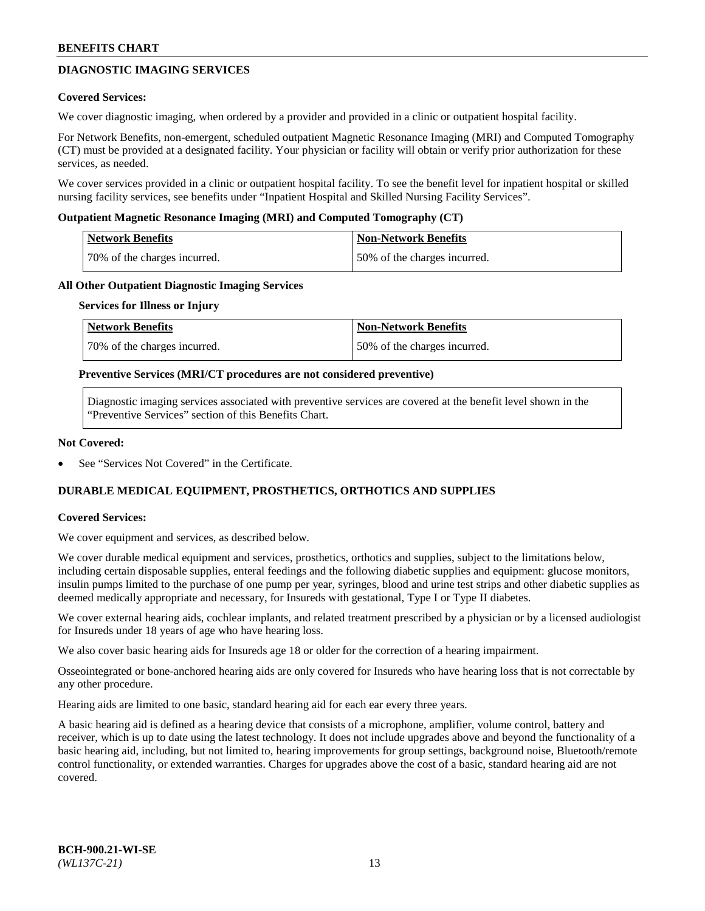# **DIAGNOSTIC IMAGING SERVICES**

#### **Covered Services:**

We cover diagnostic imaging, when ordered by a provider and provided in a clinic or outpatient hospital facility.

For Network Benefits, non-emergent, scheduled outpatient Magnetic Resonance Imaging (MRI) and Computed Tomography (CT) must be provided at a designated facility. Your physician or facility will obtain or verify prior authorization for these services, as needed.

We cover services provided in a clinic or outpatient hospital facility. To see the benefit level for inpatient hospital or skilled nursing facility services, see benefits under "Inpatient Hospital and Skilled Nursing Facility Services".

#### **Outpatient Magnetic Resonance Imaging (MRI) and Computed Tomography (CT)**

| <b>Network Benefits</b>      | <b>Non-Network Benefits</b>  |
|------------------------------|------------------------------|
| 70% of the charges incurred. | 50% of the charges incurred. |

#### **All Other Outpatient Diagnostic Imaging Services**

#### **Services for Illness or Injury**

| Network Benefits             | <b>Non-Network Benefits</b>  |
|------------------------------|------------------------------|
| 70% of the charges incurred. | 50% of the charges incurred. |

#### **Preventive Services (MRI/CT procedures are not considered preventive)**

Diagnostic imaging services associated with preventive services are covered at the benefit level shown in the "Preventive Services" section of this Benefits Chart.

#### **Not Covered:**

See "Services Not Covered" in the Certificate.

# **DURABLE MEDICAL EQUIPMENT, PROSTHETICS, ORTHOTICS AND SUPPLIES**

#### **Covered Services:**

We cover equipment and services, as described below.

We cover durable medical equipment and services, prosthetics, orthotics and supplies, subject to the limitations below, including certain disposable supplies, enteral feedings and the following diabetic supplies and equipment: glucose monitors, insulin pumps limited to the purchase of one pump per year, syringes, blood and urine test strips and other diabetic supplies as deemed medically appropriate and necessary, for Insureds with gestational, Type I or Type II diabetes.

We cover external hearing aids, cochlear implants, and related treatment prescribed by a physician or by a licensed audiologist for Insureds under 18 years of age who have hearing loss.

We also cover basic hearing aids for Insureds age 18 or older for the correction of a hearing impairment.

Osseointegrated or bone-anchored hearing aids are only covered for Insureds who have hearing loss that is not correctable by any other procedure.

Hearing aids are limited to one basic, standard hearing aid for each ear every three years.

A basic hearing aid is defined as a hearing device that consists of a microphone, amplifier, volume control, battery and receiver, which is up to date using the latest technology. It does not include upgrades above and beyond the functionality of a basic hearing aid, including, but not limited to, hearing improvements for group settings, background noise, Bluetooth/remote control functionality, or extended warranties. Charges for upgrades above the cost of a basic, standard hearing aid are not covered.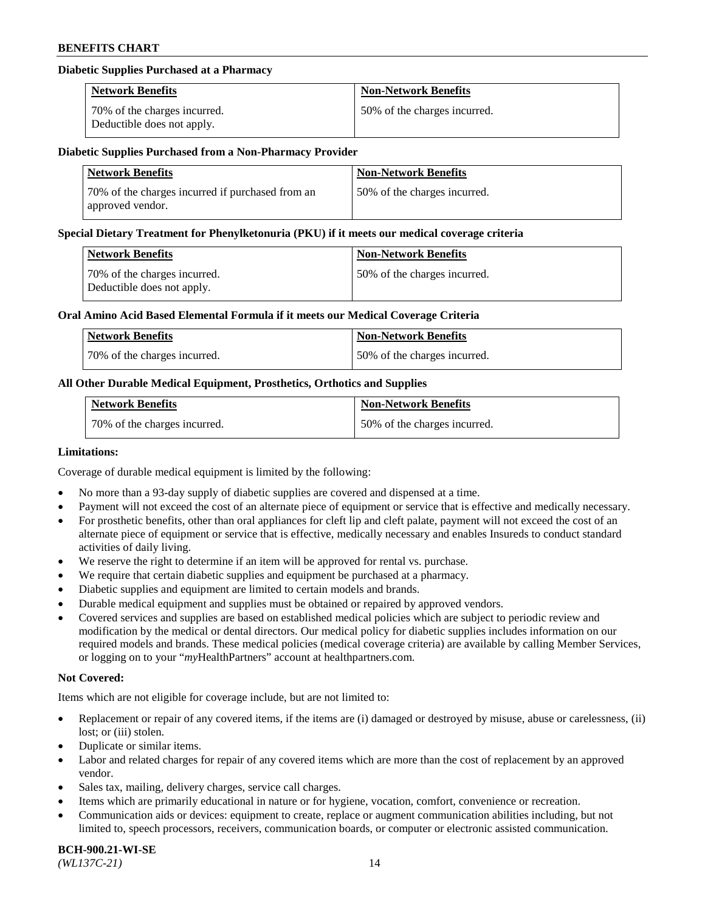#### **Diabetic Supplies Purchased at a Pharmacy**

| <b>Network Benefits</b>                                    | <b>Non-Network Benefits</b>  |
|------------------------------------------------------------|------------------------------|
| 70% of the charges incurred.<br>Deductible does not apply. | 50% of the charges incurred. |

#### **Diabetic Supplies Purchased from a Non-Pharmacy Provider**

| <b>Network Benefits</b>                                              | <b>Non-Network Benefits</b>  |
|----------------------------------------------------------------------|------------------------------|
| 70% of the charges incurred if purchased from an<br>approved vendor. | 50% of the charges incurred. |

#### **Special Dietary Treatment for Phenylketonuria (PKU) if it meets our medical coverage criteria**

| Network Benefits                                           | <b>Non-Network Benefits</b>  |
|------------------------------------------------------------|------------------------------|
| 70% of the charges incurred.<br>Deductible does not apply. | 50% of the charges incurred. |

#### **Oral Amino Acid Based Elemental Formula if it meets our Medical Coverage Criteria**

| Network Benefits             | <b>Non-Network Benefits</b>  |
|------------------------------|------------------------------|
| 70% of the charges incurred. | 50% of the charges incurred. |

### **All Other Durable Medical Equipment, Prosthetics, Orthotics and Supplies**

| <b>Network Benefits</b>      | <b>Non-Network Benefits</b>  |
|------------------------------|------------------------------|
| 70% of the charges incurred. | 50% of the charges incurred. |

#### **Limitations:**

Coverage of durable medical equipment is limited by the following:

- No more than a 93-day supply of diabetic supplies are covered and dispensed at a time.
- Payment will not exceed the cost of an alternate piece of equipment or service that is effective and medically necessary.
- For prosthetic benefits, other than oral appliances for cleft lip and cleft palate, payment will not exceed the cost of an alternate piece of equipment or service that is effective, medically necessary and enables Insureds to conduct standard
- activities of daily living. We reserve the right to determine if an item will be approved for rental vs. purchase.
- We require that certain diabetic supplies and equipment be purchased at a pharmacy.
- Diabetic supplies and equipment are limited to certain models and brands.
- Durable medical equipment and supplies must be obtained or repaired by approved vendors.
- Covered services and supplies are based on established medical policies which are subject to periodic review and modification by the medical or dental directors. Our medical policy for diabetic supplies includes information on our required models and brands. These medical policies (medical coverage criteria) are available by calling Member Services, or logging on to your "*my*HealthPartners" account a[t healthpartners.com.](https://www.healthpartners.com/hp/index.html)

### **Not Covered:**

Items which are not eligible for coverage include, but are not limited to:

- Replacement or repair of any covered items, if the items are (i) damaged or destroyed by misuse, abuse or carelessness, (ii) lost; or (iii) stolen.
- Duplicate or similar items.
- Labor and related charges for repair of any covered items which are more than the cost of replacement by an approved vendor.
- Sales tax, mailing, delivery charges, service call charges.
- Items which are primarily educational in nature or for hygiene, vocation, comfort, convenience or recreation.
- Communication aids or devices: equipment to create, replace or augment communication abilities including, but not limited to, speech processors, receivers, communication boards, or computer or electronic assisted communication.

#### **BCH-900.21-WI-SE**  *(WL137C-21)* 14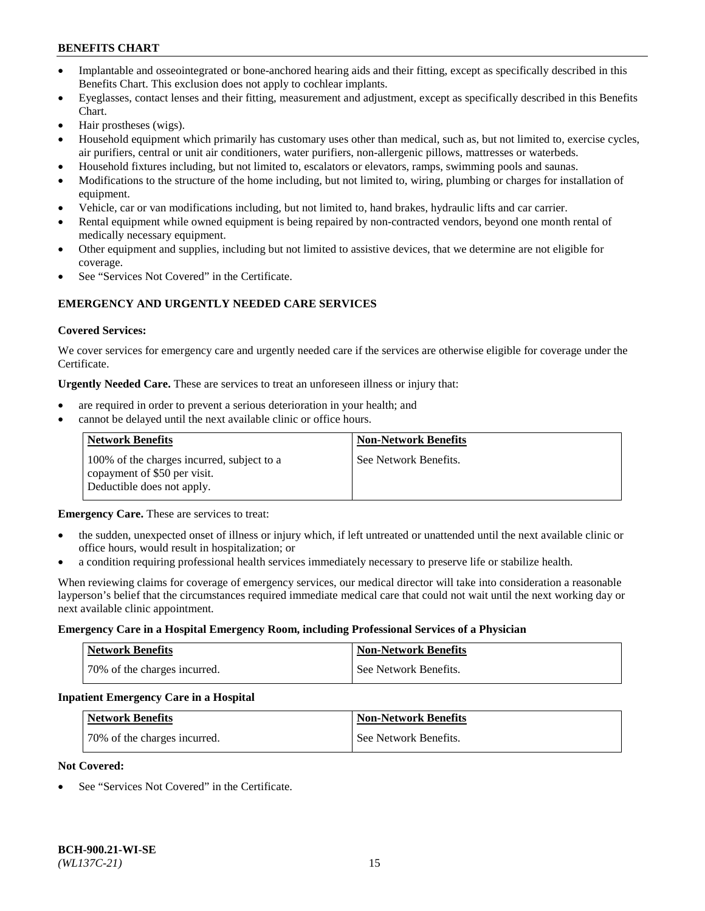- Implantable and osseointegrated or bone-anchored hearing aids and their fitting, except as specifically described in this Benefits Chart. This exclusion does not apply to cochlear implants.
- Eyeglasses, contact lenses and their fitting, measurement and adjustment, except as specifically described in this Benefits Chart.
- Hair prostheses (wigs).
- Household equipment which primarily has customary uses other than medical, such as, but not limited to, exercise cycles, air purifiers, central or unit air conditioners, water purifiers, non-allergenic pillows, mattresses or waterbeds.
- Household fixtures including, but not limited to, escalators or elevators, ramps, swimming pools and saunas.
- Modifications to the structure of the home including, but not limited to, wiring, plumbing or charges for installation of equipment.
- Vehicle, car or van modifications including, but not limited to, hand brakes, hydraulic lifts and car carrier.
- Rental equipment while owned equipment is being repaired by non-contracted vendors, beyond one month rental of medically necessary equipment.
- Other equipment and supplies, including but not limited to assistive devices, that we determine are not eligible for coverage.
- See "Services Not Covered" in the Certificate.

## **EMERGENCY AND URGENTLY NEEDED CARE SERVICES**

#### **Covered Services:**

We cover services for emergency care and urgently needed care if the services are otherwise eligible for coverage under the Certificate.

**Urgently Needed Care.** These are services to treat an unforeseen illness or injury that:

- are required in order to prevent a serious deterioration in your health; and
- cannot be delayed until the next available clinic or office hours.

| <b>Network Benefits</b>                                                                                  | <b>Non-Network Benefits</b> |
|----------------------------------------------------------------------------------------------------------|-----------------------------|
| 100% of the charges incurred, subject to a<br>copayment of \$50 per visit.<br>Deductible does not apply. | See Network Benefits.       |

**Emergency Care.** These are services to treat:

- the sudden, unexpected onset of illness or injury which, if left untreated or unattended until the next available clinic or office hours, would result in hospitalization; or
- a condition requiring professional health services immediately necessary to preserve life or stabilize health.

When reviewing claims for coverage of emergency services, our medical director will take into consideration a reasonable layperson's belief that the circumstances required immediate medical care that could not wait until the next working day or next available clinic appointment.

#### **Emergency Care in a Hospital Emergency Room, including Professional Services of a Physician**

| <b>Network Benefits</b>      | <b>Non-Network Benefits</b> |
|------------------------------|-----------------------------|
| 70% of the charges incurred. | See Network Benefits.       |

#### **Inpatient Emergency Care in a Hospital**

| <b>Network Benefits</b>      | <b>Non-Network Benefits</b> |
|------------------------------|-----------------------------|
| 70% of the charges incurred. | See Network Benefits.       |

#### **Not Covered:**

See "Services Not Covered" in the Certificate.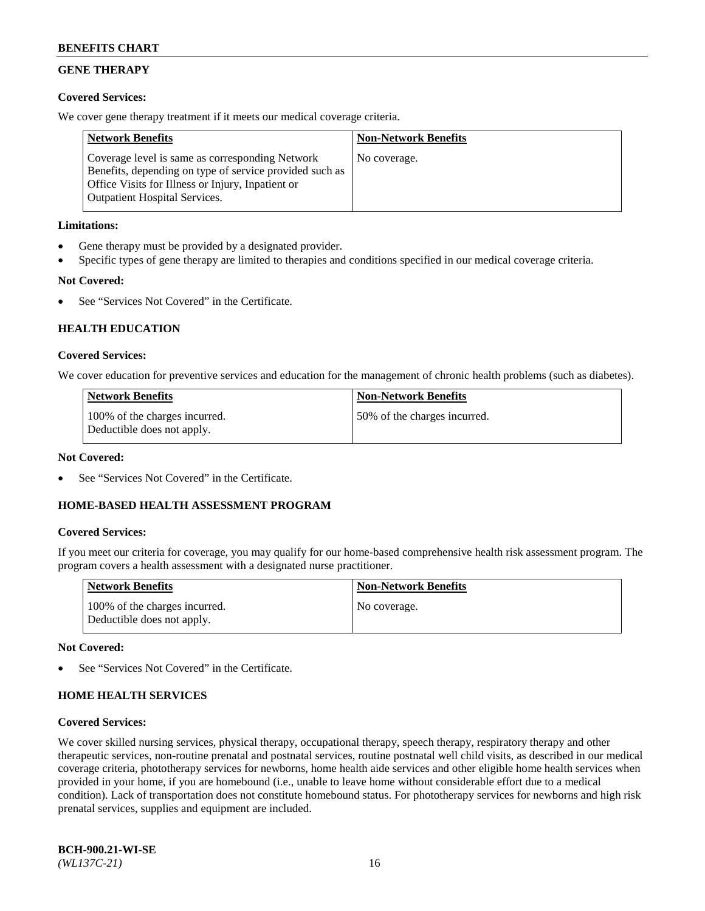# **GENE THERAPY**

### **Covered Services:**

We cover gene therapy treatment if it meets our medical coverage criteria.

| <b>Network Benefits</b>                                                                                                                                                                                 | <b>Non-Network Benefits</b> |
|---------------------------------------------------------------------------------------------------------------------------------------------------------------------------------------------------------|-----------------------------|
| Coverage level is same as corresponding Network<br>Benefits, depending on type of service provided such as<br>Office Visits for Illness or Injury, Inpatient or<br><b>Outpatient Hospital Services.</b> | No coverage.                |

#### **Limitations:**

- Gene therapy must be provided by a designated provider.
- Specific types of gene therapy are limited to therapies and conditions specified in our medical coverage criteria.

# **Not Covered:**

See "Services Not Covered" in the Certificate.

### **HEALTH EDUCATION**

#### **Covered Services:**

We cover education for preventive services and education for the management of chronic health problems (such as diabetes).

| <b>Network Benefits</b>                                     | <b>Non-Network Benefits</b>  |
|-------------------------------------------------------------|------------------------------|
| 100% of the charges incurred.<br>Deductible does not apply. | 50% of the charges incurred. |

#### **Not Covered:**

See "Services Not Covered" in the Certificate.

### **HOME-BASED HEALTH ASSESSMENT PROGRAM**

#### **Covered Services:**

If you meet our criteria for coverage, you may qualify for our home-based comprehensive health risk assessment program. The program covers a health assessment with a designated nurse practitioner.

| <b>Network Benefits</b>                                     | <b>Non-Network Benefits</b> |
|-------------------------------------------------------------|-----------------------------|
| 100% of the charges incurred.<br>Deductible does not apply. | No coverage.                |

#### **Not Covered:**

See "Services Not Covered" in the Certificate.

### **HOME HEALTH SERVICES**

#### **Covered Services:**

We cover skilled nursing services, physical therapy, occupational therapy, speech therapy, respiratory therapy and other therapeutic services, non-routine prenatal and postnatal services, routine postnatal well child visits, as described in our medical coverage criteria, phototherapy services for newborns, home health aide services and other eligible home health services when provided in your home, if you are homebound (i.e., unable to leave home without considerable effort due to a medical condition). Lack of transportation does not constitute homebound status. For phototherapy services for newborns and high risk prenatal services, supplies and equipment are included.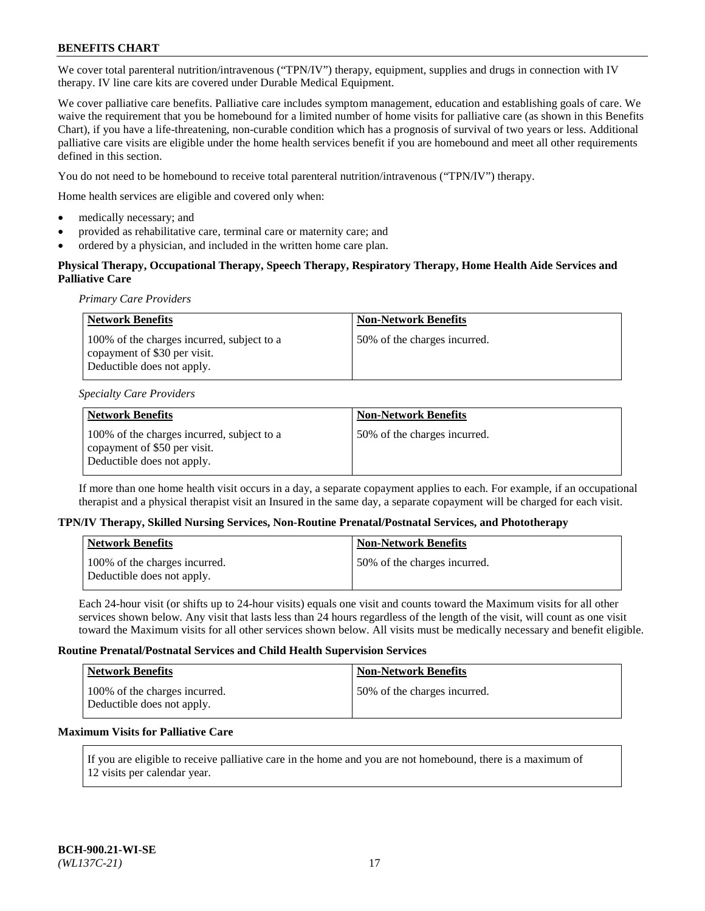We cover total parenteral nutrition/intravenous ("TPN/IV") therapy, equipment, supplies and drugs in connection with IV therapy. IV line care kits are covered under Durable Medical Equipment.

We cover palliative care benefits. Palliative care includes symptom management, education and establishing goals of care. We waive the requirement that you be homebound for a limited number of home visits for palliative care (as shown in this Benefits Chart), if you have a life-threatening, non-curable condition which has a prognosis of survival of two years or less. Additional palliative care visits are eligible under the home health services benefit if you are homebound and meet all other requirements defined in this section.

You do not need to be homebound to receive total parenteral nutrition/intravenous ("TPN/IV") therapy.

Home health services are eligible and covered only when:

- medically necessary; and
- provided as rehabilitative care, terminal care or maternity care; and
- ordered by a physician, and included in the written home care plan.

## **Physical Therapy, Occupational Therapy, Speech Therapy, Respiratory Therapy, Home Health Aide Services and Palliative Care**

*Primary Care Providers*

| <b>Network Benefits</b>                                                                                  | <b>Non-Network Benefits</b>  |
|----------------------------------------------------------------------------------------------------------|------------------------------|
| 100% of the charges incurred, subject to a<br>copayment of \$30 per visit.<br>Deductible does not apply. | 50% of the charges incurred. |

#### *Specialty Care Providers*

| Network Benefits                                                                                         | <b>Non-Network Benefits</b>  |
|----------------------------------------------------------------------------------------------------------|------------------------------|
| 100% of the charges incurred, subject to a<br>copayment of \$50 per visit.<br>Deductible does not apply. | 50% of the charges incurred. |

If more than one home health visit occurs in a day, a separate copayment applies to each. For example, if an occupational therapist and a physical therapist visit an Insured in the same day, a separate copayment will be charged for each visit.

#### **TPN/IV Therapy, Skilled Nursing Services, Non-Routine Prenatal/Postnatal Services, and Phototherapy**

| <b>Network Benefits</b>                                     | <b>Non-Network Benefits</b>   |
|-------------------------------------------------------------|-------------------------------|
| 100% of the charges incurred.<br>Deductible does not apply. | 50\% of the charges incurred. |

Each 24-hour visit (or shifts up to 24-hour visits) equals one visit and counts toward the Maximum visits for all other services shown below. Any visit that lasts less than 24 hours regardless of the length of the visit, will count as one visit toward the Maximum visits for all other services shown below. All visits must be medically necessary and benefit eligible.

#### **Routine Prenatal/Postnatal Services and Child Health Supervision Services**

| <b>Network Benefits</b>                                     | <b>Non-Network Benefits</b>  |
|-------------------------------------------------------------|------------------------------|
| 100% of the charges incurred.<br>Deductible does not apply. | 50% of the charges incurred. |

### **Maximum Visits for Palliative Care**

If you are eligible to receive palliative care in the home and you are not homebound, there is a maximum of 12 visits per calendar year.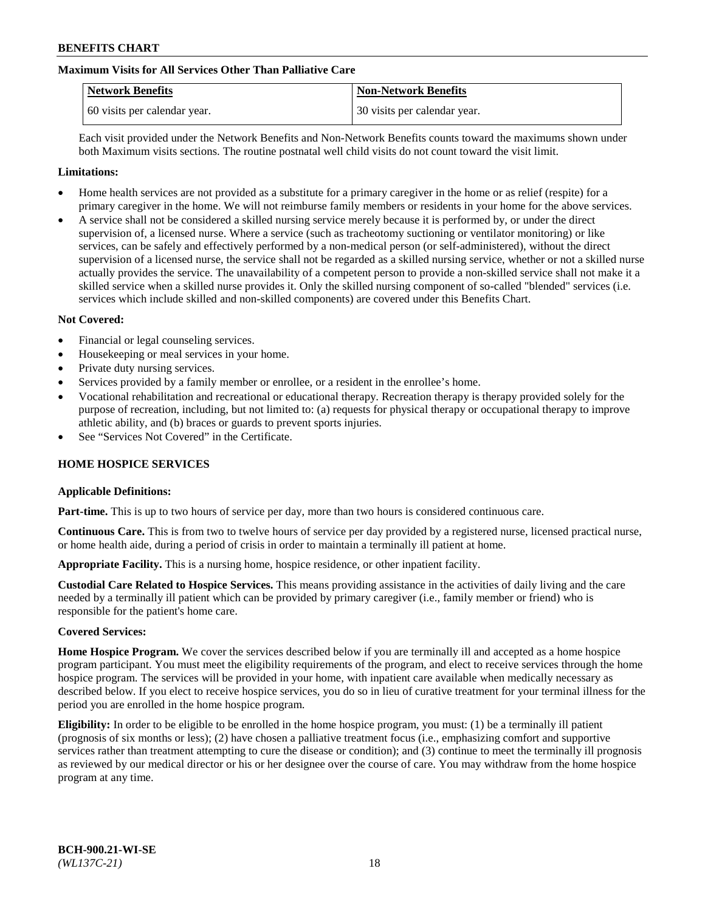## **Maximum Visits for All Services Other Than Palliative Care**

| <b>Network Benefits</b>      | <b>Non-Network Benefits</b>  |
|------------------------------|------------------------------|
| 60 visits per calendar year. | 30 visits per calendar year. |

Each visit provided under the Network Benefits and Non-Network Benefits counts toward the maximums shown under both Maximum visits sections. The routine postnatal well child visits do not count toward the visit limit.

#### **Limitations:**

- Home health services are not provided as a substitute for a primary caregiver in the home or as relief (respite) for a primary caregiver in the home. We will not reimburse family members or residents in your home for the above services.
- A service shall not be considered a skilled nursing service merely because it is performed by, or under the direct supervision of, a licensed nurse. Where a service (such as tracheotomy suctioning or ventilator monitoring) or like services, can be safely and effectively performed by a non-medical person (or self-administered), without the direct supervision of a licensed nurse, the service shall not be regarded as a skilled nursing service, whether or not a skilled nurse actually provides the service. The unavailability of a competent person to provide a non-skilled service shall not make it a skilled service when a skilled nurse provides it. Only the skilled nursing component of so-called "blended" services (i.e. services which include skilled and non-skilled components) are covered under this Benefits Chart.

#### **Not Covered:**

- Financial or legal counseling services.
- Housekeeping or meal services in your home.
- Private duty nursing services.
- Services provided by a family member or enrollee, or a resident in the enrollee's home.
- Vocational rehabilitation and recreational or educational therapy. Recreation therapy is therapy provided solely for the purpose of recreation, including, but not limited to: (a) requests for physical therapy or occupational therapy to improve athletic ability, and (b) braces or guards to prevent sports injuries.
- See "Services Not Covered" in the Certificate.

### **HOME HOSPICE SERVICES**

#### **Applicable Definitions:**

**Part-time.** This is up to two hours of service per day, more than two hours is considered continuous care.

**Continuous Care.** This is from two to twelve hours of service per day provided by a registered nurse, licensed practical nurse, or home health aide, during a period of crisis in order to maintain a terminally ill patient at home.

**Appropriate Facility.** This is a nursing home, hospice residence, or other inpatient facility.

**Custodial Care Related to Hospice Services.** This means providing assistance in the activities of daily living and the care needed by a terminally ill patient which can be provided by primary caregiver (i.e., family member or friend) who is responsible for the patient's home care.

#### **Covered Services:**

**Home Hospice Program.** We cover the services described below if you are terminally ill and accepted as a home hospice program participant. You must meet the eligibility requirements of the program, and elect to receive services through the home hospice program. The services will be provided in your home, with inpatient care available when medically necessary as described below. If you elect to receive hospice services, you do so in lieu of curative treatment for your terminal illness for the period you are enrolled in the home hospice program.

**Eligibility:** In order to be eligible to be enrolled in the home hospice program, you must: (1) be a terminally ill patient (prognosis of six months or less); (2) have chosen a palliative treatment focus (i.e., emphasizing comfort and supportive services rather than treatment attempting to cure the disease or condition); and (3) continue to meet the terminally ill prognosis as reviewed by our medical director or his or her designee over the course of care. You may withdraw from the home hospice program at any time.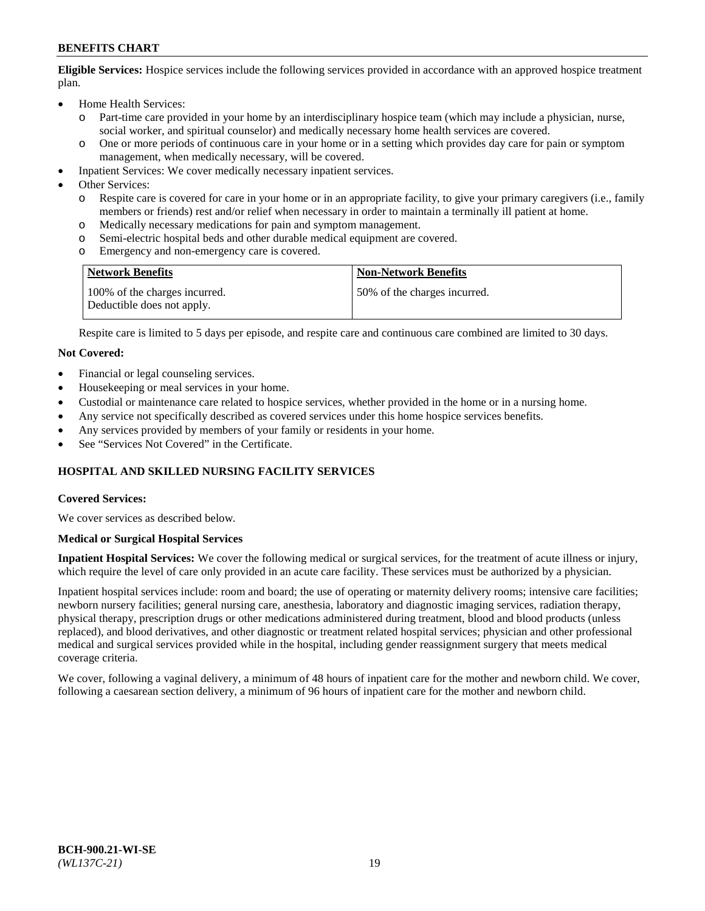**Eligible Services:** Hospice services include the following services provided in accordance with an approved hospice treatment plan.

- Home Health Services:
	- o Part-time care provided in your home by an interdisciplinary hospice team (which may include a physician, nurse, social worker, and spiritual counselor) and medically necessary home health services are covered.
	- o One or more periods of continuous care in your home or in a setting which provides day care for pain or symptom management, when medically necessary, will be covered.
- Inpatient Services: We cover medically necessary inpatient services.
- Other Services:
	- o Respite care is covered for care in your home or in an appropriate facility, to give your primary caregivers (i.e., family members or friends) rest and/or relief when necessary in order to maintain a terminally ill patient at home.
	- o Medically necessary medications for pain and symptom management.
	- Semi-electric hospital beds and other durable medical equipment are covered.
	- o Emergency and non-emergency care is covered.

| <b>Network Benefits</b>                                     | <b>Non-Network Benefits</b>  |
|-------------------------------------------------------------|------------------------------|
| 100% of the charges incurred.<br>Deductible does not apply. | 50% of the charges incurred. |

Respite care is limited to 5 days per episode, and respite care and continuous care combined are limited to 30 days.

#### **Not Covered:**

- Financial or legal counseling services.
- Housekeeping or meal services in your home.
- Custodial or maintenance care related to hospice services, whether provided in the home or in a nursing home.
- Any service not specifically described as covered services under this home hospice services benefits.
- Any services provided by members of your family or residents in your home.
- See "Services Not Covered" in the Certificate.

### **HOSPITAL AND SKILLED NURSING FACILITY SERVICES**

#### **Covered Services:**

We cover services as described below.

#### **Medical or Surgical Hospital Services**

**Inpatient Hospital Services:** We cover the following medical or surgical services, for the treatment of acute illness or injury, which require the level of care only provided in an acute care facility. These services must be authorized by a physician.

Inpatient hospital services include: room and board; the use of operating or maternity delivery rooms; intensive care facilities; newborn nursery facilities; general nursing care, anesthesia, laboratory and diagnostic imaging services, radiation therapy, physical therapy, prescription drugs or other medications administered during treatment, blood and blood products (unless replaced), and blood derivatives, and other diagnostic or treatment related hospital services; physician and other professional medical and surgical services provided while in the hospital, including gender reassignment surgery that meets medical coverage criteria.

We cover, following a vaginal delivery, a minimum of 48 hours of inpatient care for the mother and newborn child. We cover, following a caesarean section delivery, a minimum of 96 hours of inpatient care for the mother and newborn child.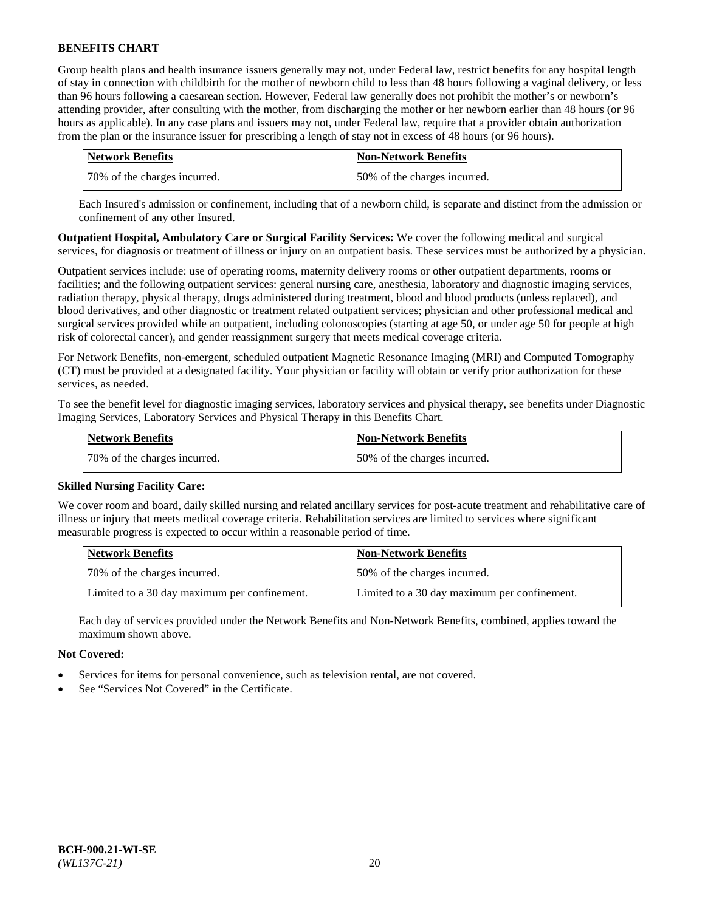Group health plans and health insurance issuers generally may not, under Federal law, restrict benefits for any hospital length of stay in connection with childbirth for the mother of newborn child to less than 48 hours following a vaginal delivery, or less than 96 hours following a caesarean section. However, Federal law generally does not prohibit the mother's or newborn's attending provider, after consulting with the mother, from discharging the mother or her newborn earlier than 48 hours (or 96 hours as applicable). In any case plans and issuers may not, under Federal law, require that a provider obtain authorization from the plan or the insurance issuer for prescribing a length of stay not in excess of 48 hours (or 96 hours).

| Network Benefits             | <b>Non-Network Benefits</b>  |
|------------------------------|------------------------------|
| 70% of the charges incurred. | 50% of the charges incurred. |

Each Insured's admission or confinement, including that of a newborn child, is separate and distinct from the admission or confinement of any other Insured.

**Outpatient Hospital, Ambulatory Care or Surgical Facility Services:** We cover the following medical and surgical services, for diagnosis or treatment of illness or injury on an outpatient basis. These services must be authorized by a physician.

Outpatient services include: use of operating rooms, maternity delivery rooms or other outpatient departments, rooms or facilities; and the following outpatient services: general nursing care, anesthesia, laboratory and diagnostic imaging services, radiation therapy, physical therapy, drugs administered during treatment, blood and blood products (unless replaced), and blood derivatives, and other diagnostic or treatment related outpatient services; physician and other professional medical and surgical services provided while an outpatient, including colonoscopies (starting at age 50, or under age 50 for people at high risk of colorectal cancer), and gender reassignment surgery that meets medical coverage criteria.

For Network Benefits, non-emergent, scheduled outpatient Magnetic Resonance Imaging (MRI) and Computed Tomography (CT) must be provided at a designated facility. Your physician or facility will obtain or verify prior authorization for these services, as needed.

To see the benefit level for diagnostic imaging services, laboratory services and physical therapy, see benefits under Diagnostic Imaging Services, Laboratory Services and Physical Therapy in this Benefits Chart.

| <b>Network Benefits</b>      | <b>Non-Network Benefits</b>  |
|------------------------------|------------------------------|
| 70% of the charges incurred. | 50% of the charges incurred. |

### **Skilled Nursing Facility Care:**

We cover room and board, daily skilled nursing and related ancillary services for post-acute treatment and rehabilitative care of illness or injury that meets medical coverage criteria. Rehabilitation services are limited to services where significant measurable progress is expected to occur within a reasonable period of time.

| <b>Network Benefits</b>                      | <b>Non-Network Benefits</b>                  |
|----------------------------------------------|----------------------------------------------|
| 70% of the charges incurred.                 | 50% of the charges incurred.                 |
| Limited to a 30 day maximum per confinement. | Limited to a 30 day maximum per confinement. |

Each day of services provided under the Network Benefits and Non-Network Benefits, combined, applies toward the maximum shown above.

#### **Not Covered:**

- Services for items for personal convenience, such as television rental, are not covered.
- See "Services Not Covered" in the Certificate.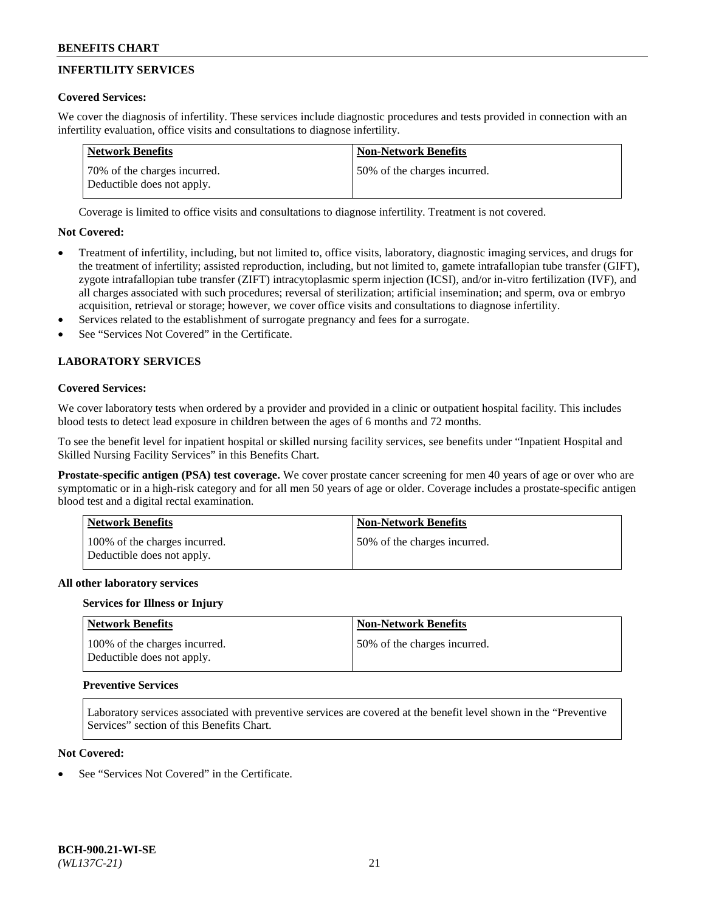# **INFERTILITY SERVICES**

### **Covered Services:**

We cover the diagnosis of infertility. These services include diagnostic procedures and tests provided in connection with an infertility evaluation, office visits and consultations to diagnose infertility.

| Network Benefits                                           | <b>Non-Network Benefits</b>  |
|------------------------------------------------------------|------------------------------|
| 70% of the charges incurred.<br>Deductible does not apply. | 50% of the charges incurred. |

Coverage is limited to office visits and consultations to diagnose infertility. Treatment is not covered.

### **Not Covered:**

- Treatment of infertility, including, but not limited to, office visits, laboratory, diagnostic imaging services, and drugs for the treatment of infertility; assisted reproduction, including, but not limited to, gamete intrafallopian tube transfer (GIFT), zygote intrafallopian tube transfer (ZIFT) intracytoplasmic sperm injection (ICSI), and/or in-vitro fertilization (IVF), and all charges associated with such procedures; reversal of sterilization; artificial insemination; and sperm, ova or embryo acquisition, retrieval or storage; however, we cover office visits and consultations to diagnose infertility.
- Services related to the establishment of surrogate pregnancy and fees for a surrogate.
- See "Services Not Covered" in the Certificate.

# **LABORATORY SERVICES**

# **Covered Services:**

We cover laboratory tests when ordered by a provider and provided in a clinic or outpatient hospital facility. This includes blood tests to detect lead exposure in children between the ages of 6 months and 72 months.

To see the benefit level for inpatient hospital or skilled nursing facility services, see benefits under "Inpatient Hospital and Skilled Nursing Facility Services" in this Benefits Chart.

**Prostate-specific antigen (PSA) test coverage.** We cover prostate cancer screening for men 40 years of age or over who are symptomatic or in a high-risk category and for all men 50 years of age or older. Coverage includes a prostate-specific antigen blood test and a digital rectal examination.

| <b>Network Benefits</b>                                     | <b>Non-Network Benefits</b>   |
|-------------------------------------------------------------|-------------------------------|
| 100% of the charges incurred.<br>Deductible does not apply. | 150% of the charges incurred. |

### **All other laboratory services**

### **Services for Illness or Injury**

| Network Benefits                                            | <b>Non-Network Benefits</b>  |
|-------------------------------------------------------------|------------------------------|
| 100% of the charges incurred.<br>Deductible does not apply. | 50% of the charges incurred. |

## **Preventive Services**

Laboratory services associated with preventive services are covered at the benefit level shown in the "Preventive Services" section of this Benefits Chart.

## **Not Covered:**

See "Services Not Covered" in the Certificate.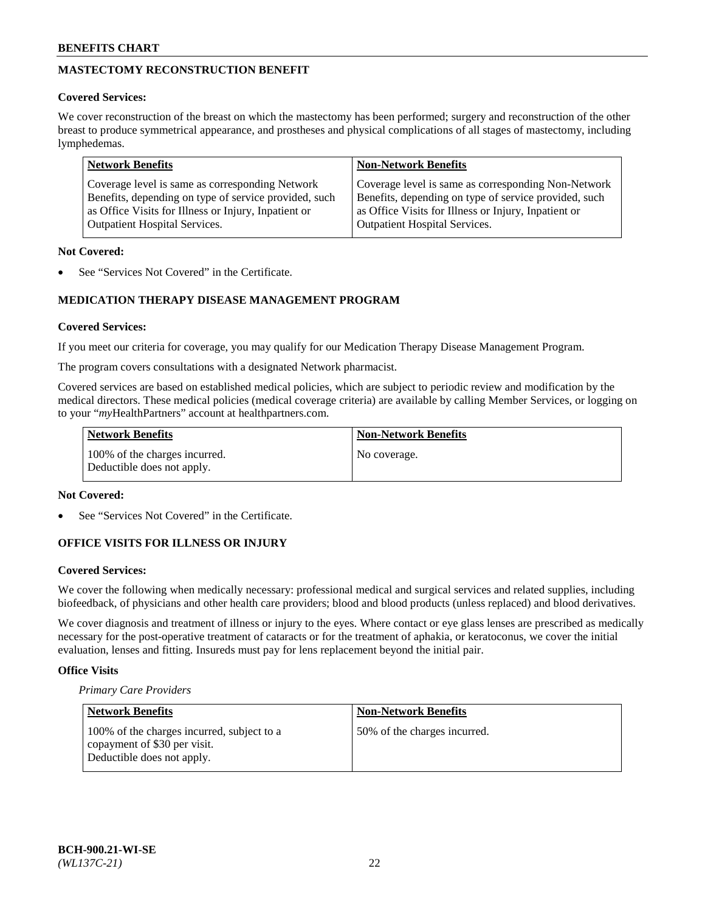# **MASTECTOMY RECONSTRUCTION BENEFIT**

### **Covered Services:**

We cover reconstruction of the breast on which the mastectomy has been performed; surgery and reconstruction of the other breast to produce symmetrical appearance, and prostheses and physical complications of all stages of mastectomy, including lymphedemas.

| <b>Network Benefits</b>                               | <b>Non-Network Benefits</b>                           |
|-------------------------------------------------------|-------------------------------------------------------|
| Coverage level is same as corresponding Network       | Coverage level is same as corresponding Non-Network   |
| Benefits, depending on type of service provided, such | Benefits, depending on type of service provided, such |
| as Office Visits for Illness or Injury, Inpatient or  | as Office Visits for Illness or Injury, Inpatient or  |
| <b>Outpatient Hospital Services.</b>                  | <b>Outpatient Hospital Services.</b>                  |

### **Not Covered:**

See "Services Not Covered" in the Certificate.

# **MEDICATION THERAPY DISEASE MANAGEMENT PROGRAM**

### **Covered Services:**

If you meet our criteria for coverage, you may qualify for our Medication Therapy Disease Management Program.

The program covers consultations with a designated Network pharmacist.

Covered services are based on established medical policies, which are subject to periodic review and modification by the medical directors. These medical policies (medical coverage criteria) are available by calling Member Services, or logging on to your "*my*HealthPartners" account at [healthpartners.com.](http://www.healthpartners.com/)

| Network Benefits                                            | <b>Non-Network Benefits</b> |
|-------------------------------------------------------------|-----------------------------|
| 100% of the charges incurred.<br>Deductible does not apply. | No coverage.                |

#### **Not Covered:**

See "Services Not Covered" in the Certificate.

### **OFFICE VISITS FOR ILLNESS OR INJURY**

#### **Covered Services:**

We cover the following when medically necessary: professional medical and surgical services and related supplies, including biofeedback, of physicians and other health care providers; blood and blood products (unless replaced) and blood derivatives.

We cover diagnosis and treatment of illness or injury to the eyes. Where contact or eye glass lenses are prescribed as medically necessary for the post-operative treatment of cataracts or for the treatment of aphakia, or keratoconus, we cover the initial evaluation, lenses and fitting. Insureds must pay for lens replacement beyond the initial pair.

### **Office Visits**

*Primary Care Providers*

| Network Benefits                                                                                         | <b>Non-Network Benefits</b>  |
|----------------------------------------------------------------------------------------------------------|------------------------------|
| 100% of the charges incurred, subject to a<br>copayment of \$30 per visit.<br>Deductible does not apply. | 50% of the charges incurred. |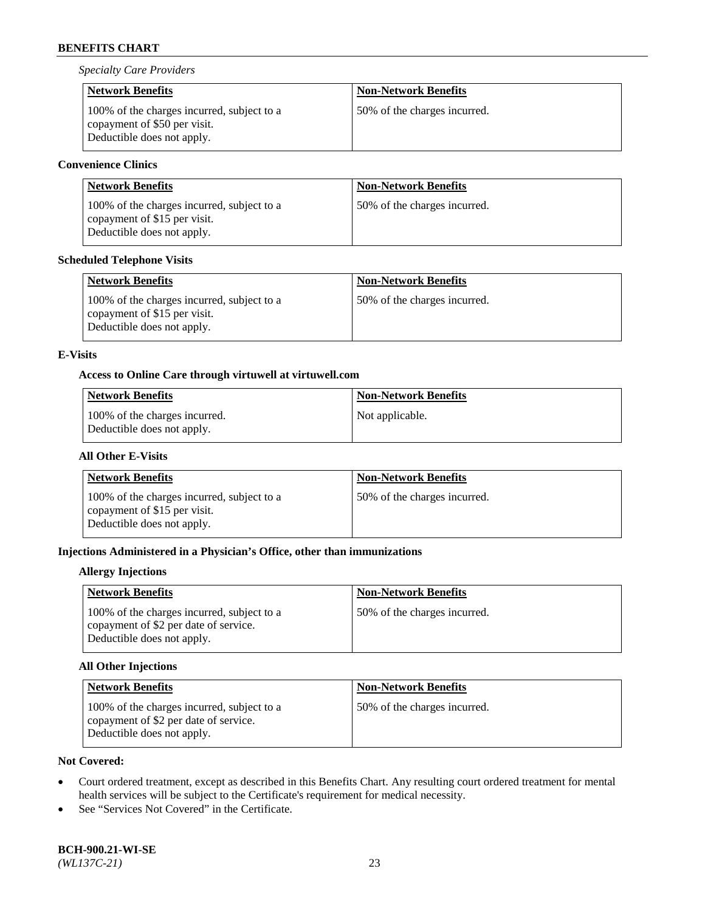*Specialty Care Providers*

| <b>Network Benefits</b>                                                                                  | <b>Non-Network Benefits</b>  |
|----------------------------------------------------------------------------------------------------------|------------------------------|
| 100% of the charges incurred, subject to a<br>copayment of \$50 per visit.<br>Deductible does not apply. | 50% of the charges incurred. |

# **Convenience Clinics**

| <b>Network Benefits</b>                                                                                  | <b>Non-Network Benefits</b>  |
|----------------------------------------------------------------------------------------------------------|------------------------------|
| 100% of the charges incurred, subject to a<br>copayment of \$15 per visit.<br>Deductible does not apply. | 50% of the charges incurred. |

### **Scheduled Telephone Visits**

| <b>Network Benefits</b>                                                                                  | <b>Non-Network Benefits</b>  |
|----------------------------------------------------------------------------------------------------------|------------------------------|
| 100% of the charges incurred, subject to a<br>copayment of \$15 per visit.<br>Deductible does not apply. | 50% of the charges incurred. |

### **E-Visits**

### **Access to Online Care through virtuwell a[t virtuwell.com](https://www.virtuwell.com/)**

| <b>Network Benefits</b>                                     | Non-Network Benefits |
|-------------------------------------------------------------|----------------------|
| 100% of the charges incurred.<br>Deductible does not apply. | Not applicable.      |

## **All Other E-Visits**

| <b>Network Benefits</b>                                                                                  | <b>Non-Network Benefits</b>  |
|----------------------------------------------------------------------------------------------------------|------------------------------|
| 100% of the charges incurred, subject to a<br>copayment of \$15 per visit.<br>Deductible does not apply. | 50% of the charges incurred. |

### **Injections Administered in a Physician's Office, other than immunizations**

#### **Allergy Injections**

| <b>Network Benefits</b>                                                                                           | <b>Non-Network Benefits</b>  |
|-------------------------------------------------------------------------------------------------------------------|------------------------------|
| 100% of the charges incurred, subject to a<br>copayment of \$2 per date of service.<br>Deductible does not apply. | 50% of the charges incurred. |

## **All Other Injections**

| <b>Network Benefits</b>                                                                                           | <b>Non-Network Benefits</b>  |
|-------------------------------------------------------------------------------------------------------------------|------------------------------|
| 100% of the charges incurred, subject to a<br>copayment of \$2 per date of service.<br>Deductible does not apply. | 50% of the charges incurred. |

# **Not Covered:**

- Court ordered treatment, except as described in this Benefits Chart. Any resulting court ordered treatment for mental health services will be subject to the Certificate's requirement for medical necessity.
- See "Services Not Covered" in the Certificate.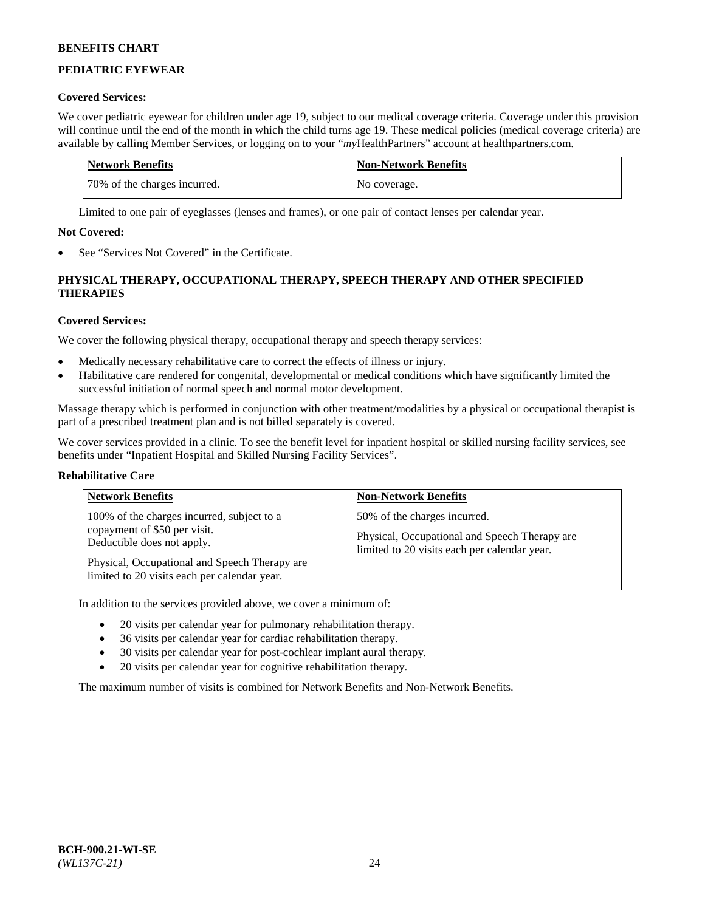# **PEDIATRIC EYEWEAR**

### **Covered Services:**

We cover pediatric eyewear for children under age 19, subject to our medical coverage criteria. Coverage under this provision will continue until the end of the month in which the child turns age 19. These medical policies (medical coverage criteria) are available by calling Member Services, or logging on to your "*my*HealthPartners" account a[t healthpartners.com.](https://www.healthpartners.com/hp/index.html)

| Network Benefits             | <b>Non-Network Benefits</b> |
|------------------------------|-----------------------------|
| 70% of the charges incurred. | No coverage.                |

Limited to one pair of eyeglasses (lenses and frames), or one pair of contact lenses per calendar year.

## **Not Covered:**

See "Services Not Covered" in the Certificate.

# **PHYSICAL THERAPY, OCCUPATIONAL THERAPY, SPEECH THERAPY AND OTHER SPECIFIED THERAPIES**

# **Covered Services:**

We cover the following physical therapy, occupational therapy and speech therapy services:

- Medically necessary rehabilitative care to correct the effects of illness or injury.
- Habilitative care rendered for congenital, developmental or medical conditions which have significantly limited the successful initiation of normal speech and normal motor development.

Massage therapy which is performed in conjunction with other treatment/modalities by a physical or occupational therapist is part of a prescribed treatment plan and is not billed separately is covered.

We cover services provided in a clinic. To see the benefit level for inpatient hospital or skilled nursing facility services, see benefits under "Inpatient Hospital and Skilled Nursing Facility Services".

### **Rehabilitative Care**

| <b>Network Benefits</b>                                                                                                                                                                                   | <b>Non-Network Benefits</b>                                                                                                   |
|-----------------------------------------------------------------------------------------------------------------------------------------------------------------------------------------------------------|-------------------------------------------------------------------------------------------------------------------------------|
| 100% of the charges incurred, subject to a<br>copayment of \$50 per visit.<br>Deductible does not apply.<br>Physical, Occupational and Speech Therapy are<br>limited to 20 visits each per calendar year. | 50% of the charges incurred.<br>Physical, Occupational and Speech Therapy are<br>limited to 20 visits each per calendar year. |

In addition to the services provided above, we cover a minimum of:

- 20 visits per calendar year for pulmonary rehabilitation therapy.
- 36 visits per calendar year for cardiac rehabilitation therapy.
- 30 visits per calendar year for post-cochlear implant aural therapy.
- 20 visits per calendar year for cognitive rehabilitation therapy.

The maximum number of visits is combined for Network Benefits and Non-Network Benefits.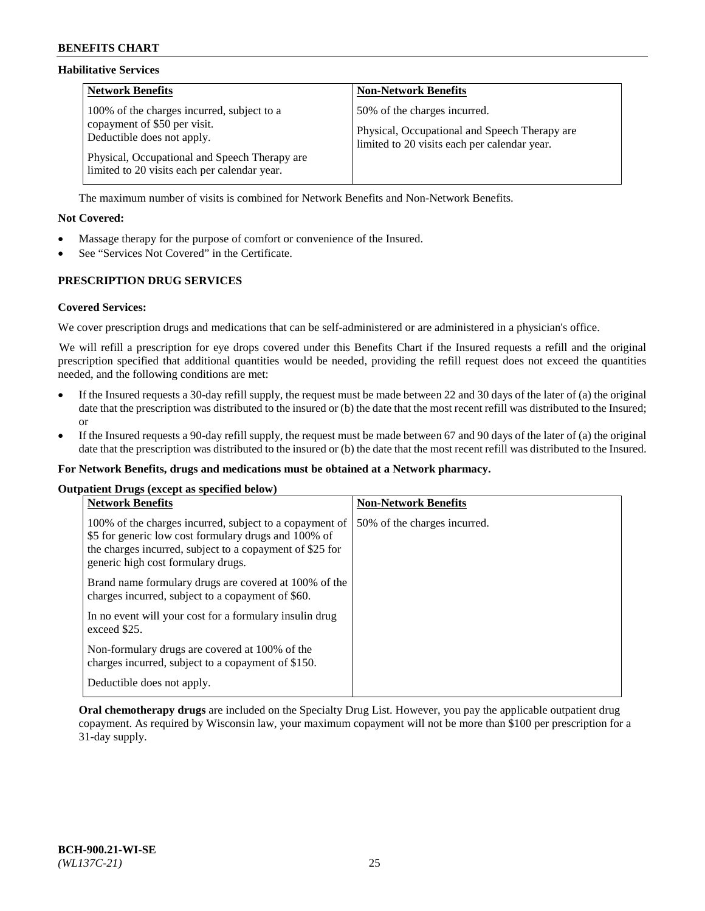#### **Habilitative Services**

| <b>Network Benefits</b>                                                                                                                                                                                   | <b>Non-Network Benefits</b>                                                                                                   |
|-----------------------------------------------------------------------------------------------------------------------------------------------------------------------------------------------------------|-------------------------------------------------------------------------------------------------------------------------------|
| 100% of the charges incurred, subject to a<br>copayment of \$50 per visit.<br>Deductible does not apply.<br>Physical, Occupational and Speech Therapy are<br>limited to 20 visits each per calendar year. | 50% of the charges incurred.<br>Physical, Occupational and Speech Therapy are<br>limited to 20 visits each per calendar year. |

The maximum number of visits is combined for Network Benefits and Non-Network Benefits.

### **Not Covered:**

- Massage therapy for the purpose of comfort or convenience of the Insured.
- See "Services Not Covered" in the Certificate.

### **PRESCRIPTION DRUG SERVICES**

#### **Covered Services:**

We cover prescription drugs and medications that can be self-administered or are administered in a physician's office.

We will refill a prescription for eye drops covered under this Benefits Chart if the Insured requests a refill and the original prescription specified that additional quantities would be needed, providing the refill request does not exceed the quantities needed, and the following conditions are met:

- If the Insured requests a 30-day refill supply, the request must be made between 22 and 30 days of the later of (a) the original date that the prescription was distributed to the insured or (b) the date that the most recent refill was distributed to the Insured; or
- If the Insured requests a 90-day refill supply, the request must be made between 67 and 90 days of the later of (a) the original date that the prescription was distributed to the insured or (b) the date that the most recent refill was distributed to the Insured.

#### **For Network Benefits, drugs and medications must be obtained at a Network pharmacy.**

#### **Outpatient Drugs (except as specified below)**

| <b>Network Benefits</b>                                                                                                                                                                                           | <b>Non-Network Benefits</b>  |
|-------------------------------------------------------------------------------------------------------------------------------------------------------------------------------------------------------------------|------------------------------|
| 100% of the charges incurred, subject to a copayment of<br>\$5 for generic low cost formulary drugs and 100% of<br>the charges incurred, subject to a copayment of \$25 for<br>generic high cost formulary drugs. | 50% of the charges incurred. |
| Brand name formulary drugs are covered at 100% of the<br>charges incurred, subject to a copayment of \$60.                                                                                                        |                              |
| In no event will your cost for a formulary insulin drug<br>exceed \$25.                                                                                                                                           |                              |
| Non-formulary drugs are covered at 100% of the<br>charges incurred, subject to a copayment of \$150.                                                                                                              |                              |
| Deductible does not apply.                                                                                                                                                                                        |                              |

**Oral chemotherapy drugs** are included on the Specialty Drug List. However, you pay the applicable outpatient drug copayment. As required by Wisconsin law, your maximum copayment will not be more than \$100 per prescription for a 31-day supply.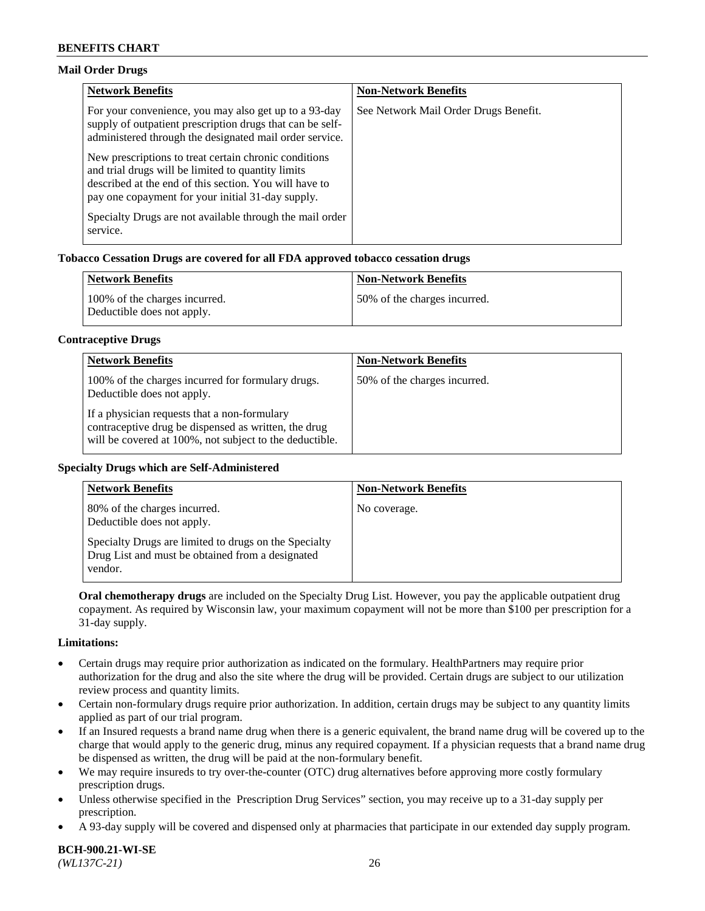#### **Mail Order Drugs**

| <b>Network Benefits</b>                                                                                                                                                                                                    | <b>Non-Network Benefits</b>           |
|----------------------------------------------------------------------------------------------------------------------------------------------------------------------------------------------------------------------------|---------------------------------------|
| For your convenience, you may also get up to a 93-day<br>supply of outpatient prescription drugs that can be self-<br>administered through the designated mail order service.                                              | See Network Mail Order Drugs Benefit. |
| New prescriptions to treat certain chronic conditions<br>and trial drugs will be limited to quantity limits<br>described at the end of this section. You will have to<br>pay one copayment for your initial 31-day supply. |                                       |
| Specialty Drugs are not available through the mail order<br>service.                                                                                                                                                       |                                       |

### **Tobacco Cessation Drugs are covered for all FDA approved tobacco cessation drugs**

| <b>Network Benefits</b>                                     | <b>Non-Network Benefits</b>  |
|-------------------------------------------------------------|------------------------------|
| 100% of the charges incurred.<br>Deductible does not apply. | 50% of the charges incurred. |

#### **Contraceptive Drugs**

| <b>Network Benefits</b>                                                                                                                                         | <b>Non-Network Benefits</b>  |
|-----------------------------------------------------------------------------------------------------------------------------------------------------------------|------------------------------|
| 100% of the charges incurred for formulary drugs.<br>Deductible does not apply.                                                                                 | 50% of the charges incurred. |
| If a physician requests that a non-formulary<br>contraceptive drug be dispensed as written, the drug<br>will be covered at 100%, not subject to the deductible. |                              |

#### **Specialty Drugs which are Self-Administered**

| <b>Network Benefits</b>                                                                                              | <b>Non-Network Benefits</b> |
|----------------------------------------------------------------------------------------------------------------------|-----------------------------|
| 80% of the charges incurred.<br>Deductible does not apply.                                                           | No coverage.                |
| Specialty Drugs are limited to drugs on the Specialty<br>Drug List and must be obtained from a designated<br>vendor. |                             |

**Oral chemotherapy drugs** are included on the Specialty Drug List. However, you pay the applicable outpatient drug copayment. As required by Wisconsin law, your maximum copayment will not be more than \$100 per prescription for a 31-day supply.

#### **Limitations:**

- Certain drugs may require prior authorization as indicated on the formulary. HealthPartners may require prior authorization for the drug and also the site where the drug will be provided. Certain drugs are subject to our utilization review process and quantity limits.
- Certain non-formulary drugs require prior authorization. In addition, certain drugs may be subject to any quantity limits applied as part of our trial program.
- If an Insured requests a brand name drug when there is a generic equivalent, the brand name drug will be covered up to the charge that would apply to the generic drug, minus any required copayment. If a physician requests that a brand name drug be dispensed as written, the drug will be paid at the non-formulary benefit.
- We may require insureds to try over-the-counter (OTC) drug alternatives before approving more costly formulary prescription drugs.
- Unless otherwise specified in the Prescription Drug Services" section, you may receive up to a 31-day supply per prescription.
- A 93-day supply will be covered and dispensed only at pharmacies that participate in our extended day supply program.

**BCH-900.21-WI-SE**  *(WL137C-21)* 26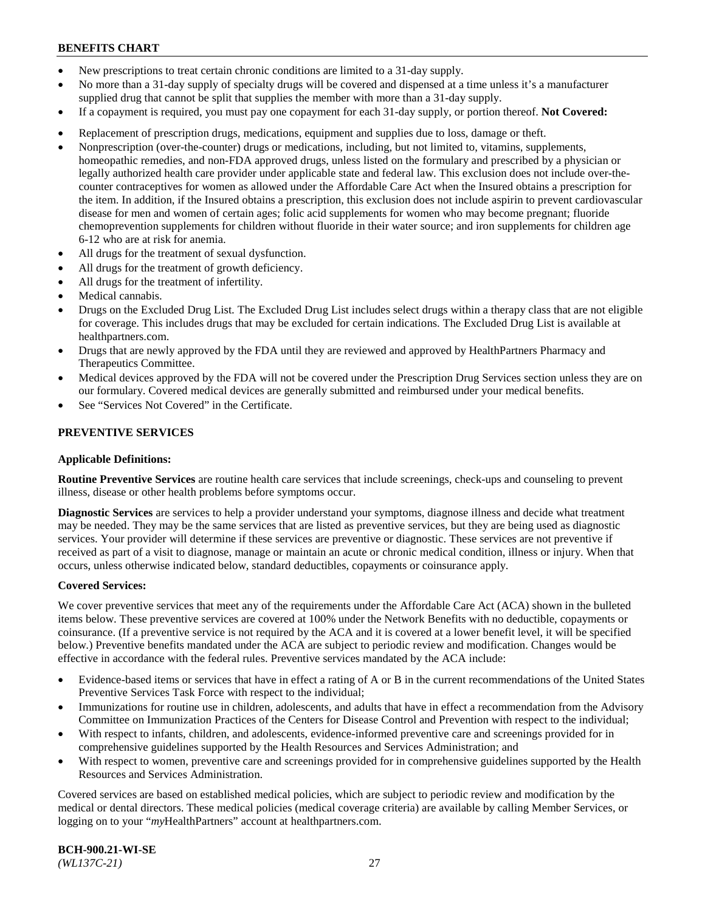- New prescriptions to treat certain chronic conditions are limited to a 31-day supply.
- No more than a 31-day supply of specialty drugs will be covered and dispensed at a time unless it's a manufacturer supplied drug that cannot be split that supplies the member with more than a 31-day supply.
- If a copayment is required, you must pay one copayment for each 31-day supply, or portion thereof. **Not Covered:**
- Replacement of prescription drugs, medications, equipment and supplies due to loss, damage or theft.
- Nonprescription (over-the-counter) drugs or medications, including, but not limited to, vitamins, supplements, homeopathic remedies, and non-FDA approved drugs, unless listed on the formulary and prescribed by a physician or legally authorized health care provider under applicable state and federal law. This exclusion does not include over-thecounter contraceptives for women as allowed under the Affordable Care Act when the Insured obtains a prescription for the item. In addition, if the Insured obtains a prescription, this exclusion does not include aspirin to prevent cardiovascular disease for men and women of certain ages; folic acid supplements for women who may become pregnant; fluoride chemoprevention supplements for children without fluoride in their water source; and iron supplements for children age 6-12 who are at risk for anemia.
- All drugs for the treatment of sexual dysfunction.
- All drugs for the treatment of growth deficiency.
- All drugs for the treatment of infertility.
- Medical cannabis.
- Drugs on the Excluded Drug List. The Excluded Drug List includes select drugs within a therapy class that are not eligible for coverage. This includes drugs that may be excluded for certain indications. The Excluded Drug List is available at [healthpartners.com.](http://www.healthpartners.com/)
- Drugs that are newly approved by the FDA until they are reviewed and approved by HealthPartners Pharmacy and Therapeutics Committee.
- Medical devices approved by the FDA will not be covered under the Prescription Drug Services section unless they are on our formulary. Covered medical devices are generally submitted and reimbursed under your medical benefits.
- See "Services Not Covered" in the Certificate.

### **PREVENTIVE SERVICES**

#### **Applicable Definitions:**

**Routine Preventive Services** are routine health care services that include screenings, check-ups and counseling to prevent illness, disease or other health problems before symptoms occur.

**Diagnostic Services** are services to help a provider understand your symptoms, diagnose illness and decide what treatment may be needed. They may be the same services that are listed as preventive services, but they are being used as diagnostic services. Your provider will determine if these services are preventive or diagnostic. These services are not preventive if received as part of a visit to diagnose, manage or maintain an acute or chronic medical condition, illness or injury. When that occurs, unless otherwise indicated below, standard deductibles, copayments or coinsurance apply.

#### **Covered Services:**

We cover preventive services that meet any of the requirements under the Affordable Care Act (ACA) shown in the bulleted items below. These preventive services are covered at 100% under the Network Benefits with no deductible, copayments or coinsurance. (If a preventive service is not required by the ACA and it is covered at a lower benefit level, it will be specified below.) Preventive benefits mandated under the ACA are subject to periodic review and modification. Changes would be effective in accordance with the federal rules. Preventive services mandated by the ACA include:

- Evidence-based items or services that have in effect a rating of A or B in the current recommendations of the United States Preventive Services Task Force with respect to the individual;
- Immunizations for routine use in children, adolescents, and adults that have in effect a recommendation from the Advisory Committee on Immunization Practices of the Centers for Disease Control and Prevention with respect to the individual;
- With respect to infants, children, and adolescents, evidence-informed preventive care and screenings provided for in comprehensive guidelines supported by the Health Resources and Services Administration; and
- With respect to women, preventive care and screenings provided for in comprehensive guidelines supported by the Health Resources and Services Administration.

Covered services are based on established medical policies, which are subject to periodic review and modification by the medical or dental directors. These medical policies (medical coverage criteria) are available by calling Member Services, or logging on to your "*my*HealthPartners" account at [healthpartners.com.](https://www.healthpartners.com/hp/index.html)

**BCH-900.21-WI-SE**  *(WL137C-21)* 27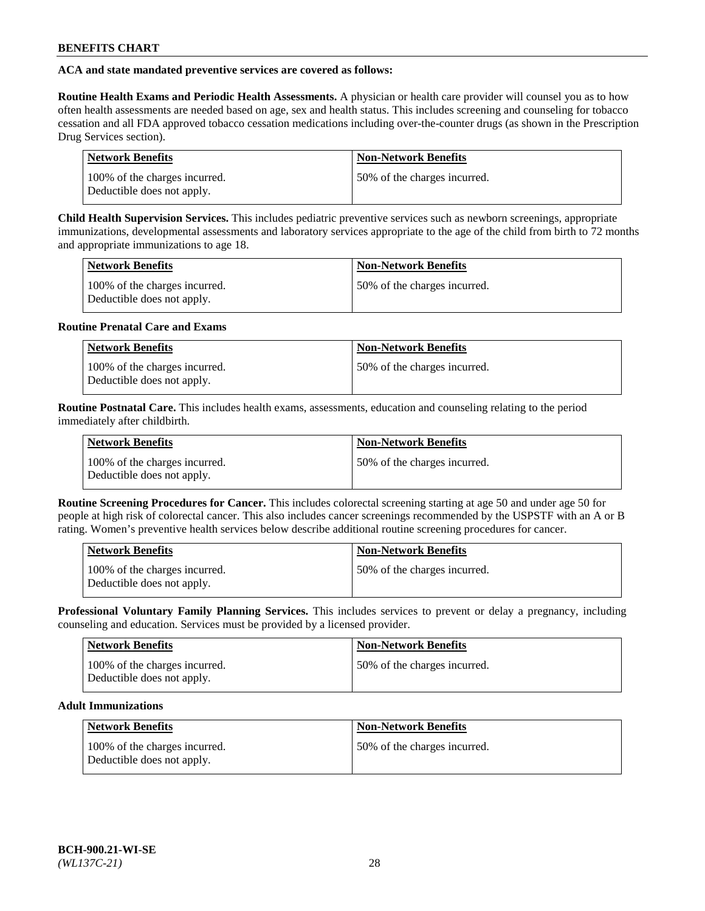### **ACA and state mandated preventive services are covered as follows:**

**Routine Health Exams and Periodic Health Assessments.** A physician or health care provider will counsel you as to how often health assessments are needed based on age, sex and health status. This includes screening and counseling for tobacco cessation and all FDA approved tobacco cessation medications including over-the-counter drugs (as shown in the Prescription Drug Services section).

| <b>Network Benefits</b>                                     | <b>Non-Network Benefits</b>  |
|-------------------------------------------------------------|------------------------------|
| 100% of the charges incurred.<br>Deductible does not apply. | 50% of the charges incurred. |

**Child Health Supervision Services.** This includes pediatric preventive services such as newborn screenings, appropriate immunizations, developmental assessments and laboratory services appropriate to the age of the child from birth to 72 months and appropriate immunizations to age 18.

| <b>Network Benefits</b>                                     | <b>Non-Network Benefits</b>  |
|-------------------------------------------------------------|------------------------------|
| 100% of the charges incurred.<br>Deductible does not apply. | 50% of the charges incurred. |

#### **Routine Prenatal Care and Exams**

| <b>Network Benefits</b>                                     | <b>Non-Network Benefits</b>   |
|-------------------------------------------------------------|-------------------------------|
| 100% of the charges incurred.<br>Deductible does not apply. | 150% of the charges incurred. |

**Routine Postnatal Care.** This includes health exams, assessments, education and counseling relating to the period immediately after childbirth.

| <b>Network Benefits</b>                                     | <b>Non-Network Benefits</b>  |
|-------------------------------------------------------------|------------------------------|
| 100% of the charges incurred.<br>Deductible does not apply. | 50% of the charges incurred. |

**Routine Screening Procedures for Cancer.** This includes colorectal screening starting at age 50 and under age 50 for people at high risk of colorectal cancer. This also includes cancer screenings recommended by the USPSTF with an A or B rating. Women's preventive health services below describe additional routine screening procedures for cancer.

| <b>Network Benefits</b>                                     | <b>Non-Network Benefits</b>  |
|-------------------------------------------------------------|------------------------------|
| 100% of the charges incurred.<br>Deductible does not apply. | 50% of the charges incurred. |

**Professional Voluntary Family Planning Services.** This includes services to prevent or delay a pregnancy, including counseling and education. Services must be provided by a licensed provider.

| Network Benefits                                            | <b>Non-Network Benefits</b>  |
|-------------------------------------------------------------|------------------------------|
| 100% of the charges incurred.<br>Deductible does not apply. | 50% of the charges incurred. |

### **Adult Immunizations**

| <b>Network Benefits</b>                                     | Non-Network Benefits         |
|-------------------------------------------------------------|------------------------------|
| 100% of the charges incurred.<br>Deductible does not apply. | 50% of the charges incurred. |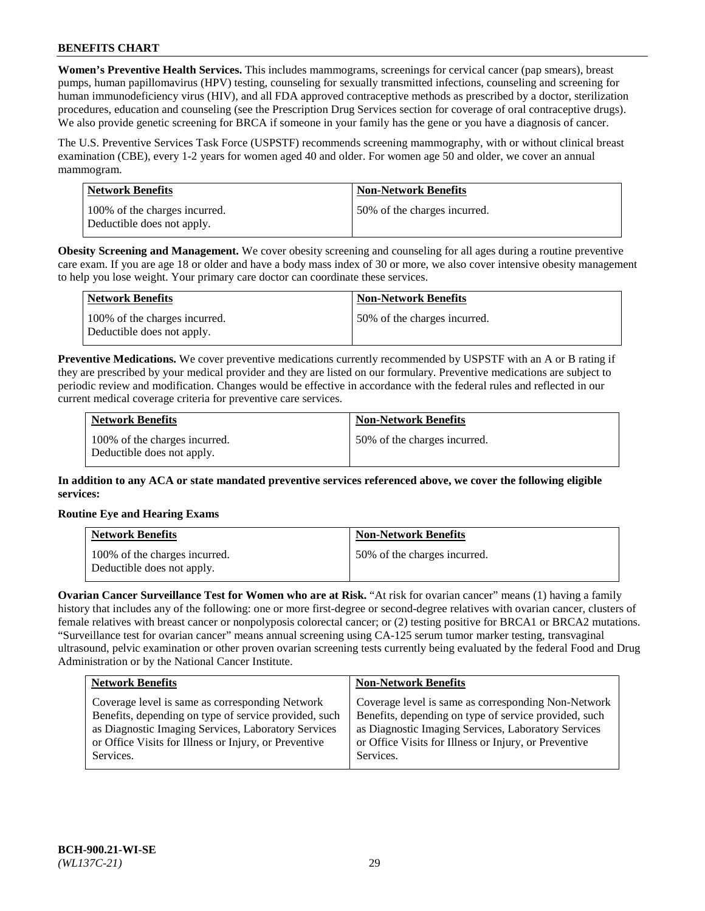**Women's Preventive Health Services.** This includes mammograms, screenings for cervical cancer (pap smears), breast pumps, human papillomavirus (HPV) testing, counseling for sexually transmitted infections, counseling and screening for human immunodeficiency virus (HIV), and all FDA approved contraceptive methods as prescribed by a doctor, sterilization procedures, education and counseling (see the Prescription Drug Services section for coverage of oral contraceptive drugs). We also provide genetic screening for BRCA if someone in your family has the gene or you have a diagnosis of cancer.

The U.S. Preventive Services Task Force (USPSTF) recommends screening mammography, with or without clinical breast examination (CBE), every 1-2 years for women aged 40 and older. For women age 50 and older, we cover an annual mammogram.

| Network Benefits                                            | <b>Non-Network Benefits</b>  |
|-------------------------------------------------------------|------------------------------|
| 100% of the charges incurred.<br>Deductible does not apply. | 50% of the charges incurred. |

**Obesity Screening and Management.** We cover obesity screening and counseling for all ages during a routine preventive care exam. If you are age 18 or older and have a body mass index of 30 or more, we also cover intensive obesity management to help you lose weight. Your primary care doctor can coordinate these services.

| Network Benefits                                            | <b>Non-Network Benefits</b>  |
|-------------------------------------------------------------|------------------------------|
| 100% of the charges incurred.<br>Deductible does not apply. | 50% of the charges incurred. |

**Preventive Medications.** We cover preventive medications currently recommended by USPSTF with an A or B rating if they are prescribed by your medical provider and they are listed on our formulary. Preventive medications are subject to periodic review and modification. Changes would be effective in accordance with the federal rules and reflected in our current medical coverage criteria for preventive care services.

| <b>Network Benefits</b>                                     | <b>Non-Network Benefits</b>  |
|-------------------------------------------------------------|------------------------------|
| 100% of the charges incurred.<br>Deductible does not apply. | 50% of the charges incurred. |

**In addition to any ACA or state mandated preventive services referenced above, we cover the following eligible services:**

### **Routine Eye and Hearing Exams**

| <b>Network Benefits</b>                                     | <b>Non-Network Benefits</b>  |
|-------------------------------------------------------------|------------------------------|
| 100% of the charges incurred.<br>Deductible does not apply. | 50% of the charges incurred. |

**Ovarian Cancer Surveillance Test for Women who are at Risk.** "At risk for ovarian cancer" means (1) having a family history that includes any of the following: one or more first-degree or second-degree relatives with ovarian cancer, clusters of female relatives with breast cancer or nonpolyposis colorectal cancer; or (2) testing positive for BRCA1 or BRCA2 mutations. "Surveillance test for ovarian cancer" means annual screening using CA-125 serum tumor marker testing, transvaginal ultrasound, pelvic examination or other proven ovarian screening tests currently being evaluated by the federal Food and Drug Administration or by the National Cancer Institute.

| <b>Network Benefits</b>                               | <b>Non-Network Benefits</b>                           |
|-------------------------------------------------------|-------------------------------------------------------|
| Coverage level is same as corresponding Network       | Coverage level is same as corresponding Non-Network   |
| Benefits, depending on type of service provided, such | Benefits, depending on type of service provided, such |
| as Diagnostic Imaging Services, Laboratory Services   | as Diagnostic Imaging Services, Laboratory Services   |
| or Office Visits for Illness or Injury, or Preventive | or Office Visits for Illness or Injury, or Preventive |
| Services.                                             | Services.                                             |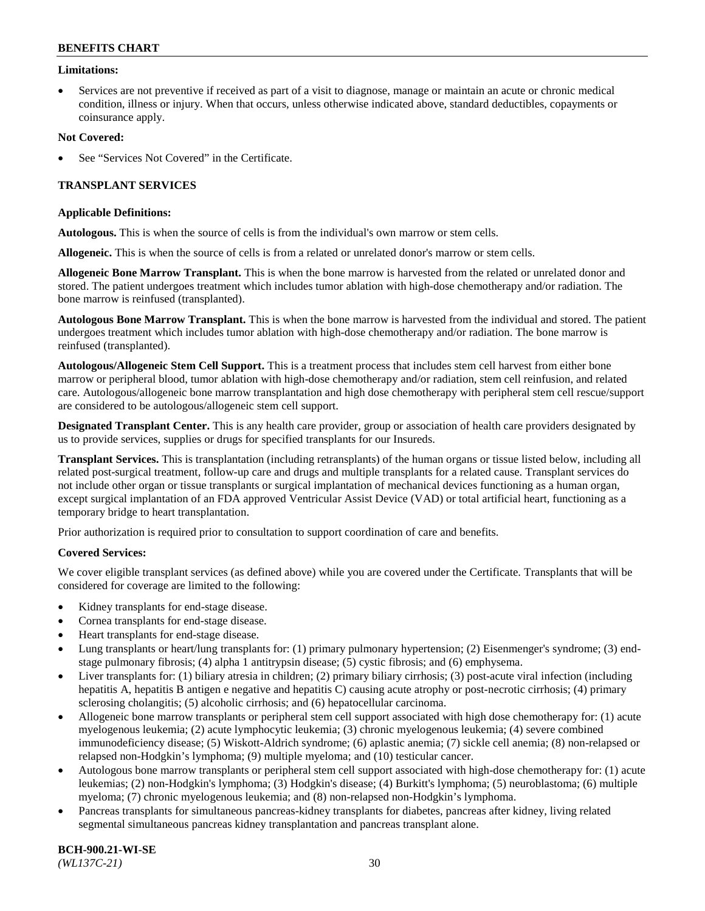#### **Limitations:**

• Services are not preventive if received as part of a visit to diagnose, manage or maintain an acute or chronic medical condition, illness or injury. When that occurs, unless otherwise indicated above, standard deductibles, copayments or coinsurance apply.

#### **Not Covered:**

See "Services Not Covered" in the Certificate.

### **TRANSPLANT SERVICES**

#### **Applicable Definitions:**

**Autologous.** This is when the source of cells is from the individual's own marrow or stem cells.

**Allogeneic.** This is when the source of cells is from a related or unrelated donor's marrow or stem cells.

**Allogeneic Bone Marrow Transplant.** This is when the bone marrow is harvested from the related or unrelated donor and stored. The patient undergoes treatment which includes tumor ablation with high-dose chemotherapy and/or radiation. The bone marrow is reinfused (transplanted).

**Autologous Bone Marrow Transplant.** This is when the bone marrow is harvested from the individual and stored. The patient undergoes treatment which includes tumor ablation with high-dose chemotherapy and/or radiation. The bone marrow is reinfused (transplanted).

**Autologous/Allogeneic Stem Cell Support.** This is a treatment process that includes stem cell harvest from either bone marrow or peripheral blood, tumor ablation with high-dose chemotherapy and/or radiation, stem cell reinfusion, and related care. Autologous/allogeneic bone marrow transplantation and high dose chemotherapy with peripheral stem cell rescue/support are considered to be autologous/allogeneic stem cell support.

**Designated Transplant Center.** This is any health care provider, group or association of health care providers designated by us to provide services, supplies or drugs for specified transplants for our Insureds.

**Transplant Services.** This is transplantation (including retransplants) of the human organs or tissue listed below, including all related post-surgical treatment, follow-up care and drugs and multiple transplants for a related cause. Transplant services do not include other organ or tissue transplants or surgical implantation of mechanical devices functioning as a human organ, except surgical implantation of an FDA approved Ventricular Assist Device (VAD) or total artificial heart, functioning as a temporary bridge to heart transplantation.

Prior authorization is required prior to consultation to support coordination of care and benefits.

### **Covered Services:**

We cover eligible transplant services (as defined above) while you are covered under the Certificate. Transplants that will be considered for coverage are limited to the following:

- Kidney transplants for end-stage disease.
- Cornea transplants for end-stage disease.
- Heart transplants for end-stage disease.
- Lung transplants or heart/lung transplants for: (1) primary pulmonary hypertension; (2) Eisenmenger's syndrome; (3) endstage pulmonary fibrosis; (4) alpha 1 antitrypsin disease; (5) cystic fibrosis; and (6) emphysema.
- Liver transplants for: (1) biliary atresia in children; (2) primary biliary cirrhosis; (3) post-acute viral infection (including hepatitis A, hepatitis B antigen e negative and hepatitis C) causing acute atrophy or post-necrotic cirrhosis; (4) primary sclerosing cholangitis; (5) alcoholic cirrhosis; and (6) hepatocellular carcinoma.
- Allogeneic bone marrow transplants or peripheral stem cell support associated with high dose chemotherapy for: (1) acute myelogenous leukemia; (2) acute lymphocytic leukemia; (3) chronic myelogenous leukemia; (4) severe combined immunodeficiency disease; (5) Wiskott-Aldrich syndrome; (6) aplastic anemia; (7) sickle cell anemia; (8) non-relapsed or relapsed non-Hodgkin's lymphoma; (9) multiple myeloma; and (10) testicular cancer.
- Autologous bone marrow transplants or peripheral stem cell support associated with high-dose chemotherapy for: (1) acute leukemias; (2) non-Hodgkin's lymphoma; (3) Hodgkin's disease; (4) Burkitt's lymphoma; (5) neuroblastoma; (6) multiple myeloma; (7) chronic myelogenous leukemia; and (8) non-relapsed non-Hodgkin's lymphoma.
- Pancreas transplants for simultaneous pancreas-kidney transplants for diabetes, pancreas after kidney, living related segmental simultaneous pancreas kidney transplantation and pancreas transplant alone.